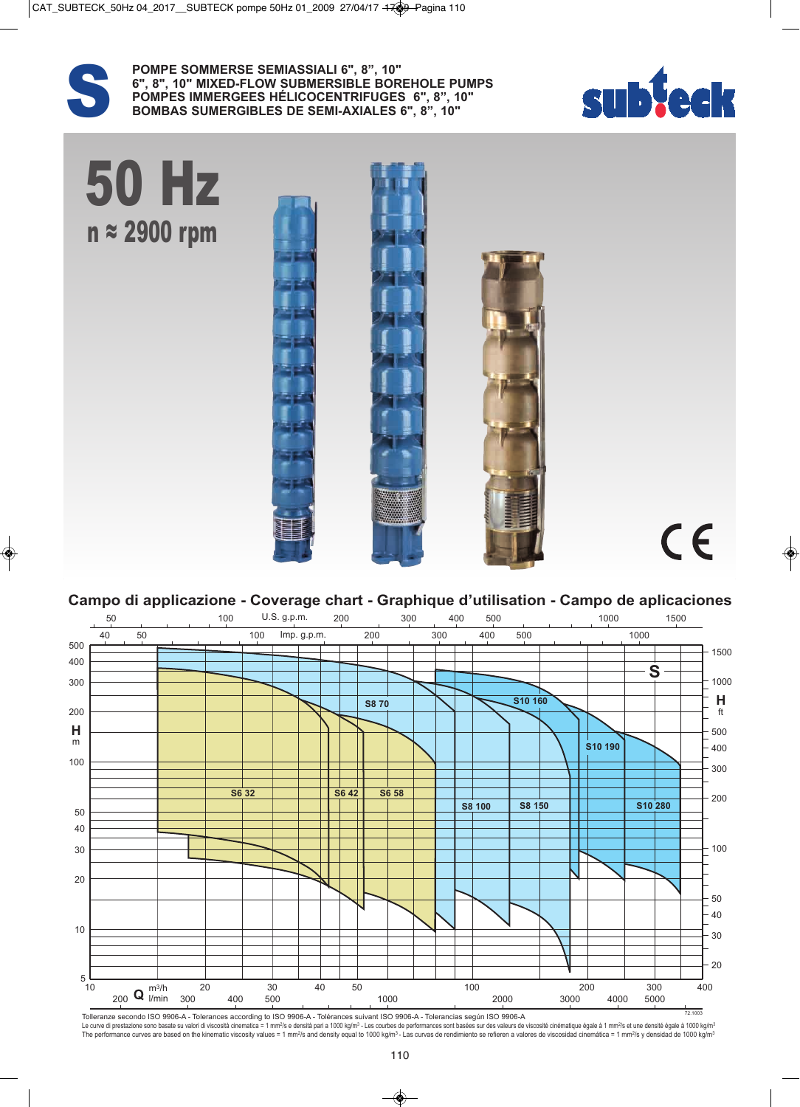

POMPE SOMMERSE SEMIASSIALI 6", 8", 10"<br>6", 8", 10" MIXED-FLOW SUBMERSIBLE BOR<br>POMPES IMMERGEES HÉLICOCENTRIFUGES<br>BOMBAS SUMERGIBLES DE SEMI-AXIALES **6", 8", 10" MIXED-FLOW SUBMERSIBLE BOREHOLE PUMPS POMPES IMMERGEES HÉLICOCENTRIFUGES 6", 8", 10" BOMBAS SUMERGIBLES DE SEMI-AXIALES 6", 8", 10"**





**Campo di applicazione - Coverage chart - Graphique d'utilisation - Campo de aplicaciones** 



Tolleranze secondo ISO 9906-A - Tolerances according to ISO 9906-A - Tolérances suivant ISO 9906-A - Tolerancias según ISO 9906-A Le curve di prestazione sono basate su valori di viscosità cinematica = 1 mm<sup>2</sup>/s e densità pari a 1000 kg/m<sup>3</sup> - Les courbes de performances sont basées sur des valeurs de viscosité cinematique égale à 1 mm<sup>2</sup>/s et une de The performance curves are based on the kinematic viscosity values = 1 mm<sup>2</sup>/s and density equal to 1000 kg/m<sup>3</sup> - Las curvas de rendimiento se refieren a valores de viscosidad cinemática = 1 mm<sup>2</sup>/s y densidad de 1000 kg/ 72.1003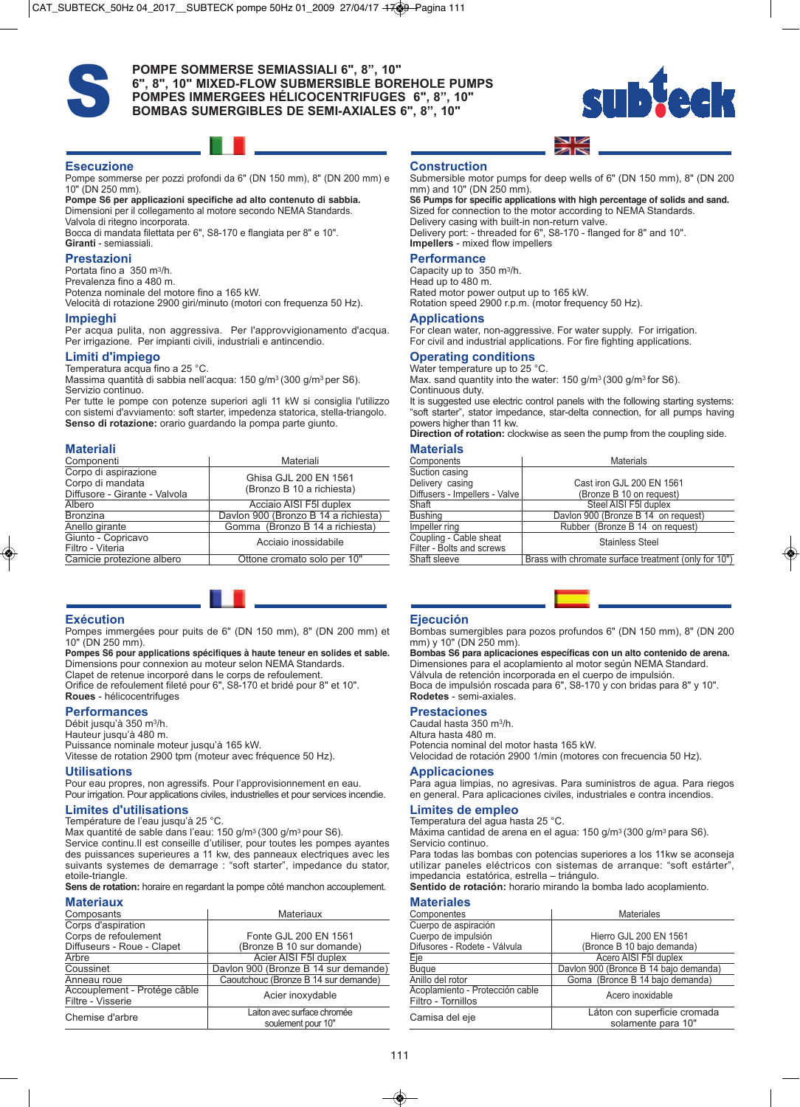

## POMPE SOMMERSE SEMIASSIALI 6", 8", 10"<br>6", 8", 10" MIXED-FLOW SUBMERSIBLE BOR<br>POMPES IMMERGEES HÉLICOCENTRIFUGES<br>BOMBAS SUMERGIBLES DE SEMI-AXIALES **6", 8", 10" MIXED-FLOW SUBMERSIBLE BOREHOLE PUMPS POMPES IMMERGEES HÉLICOCENTRIFUGES 6", 8", 10" BOMBAS SUMERGIBLES DE SEMI-AXIALES 6", 8", 10"**



#### **Esecuzione**

Pompe sommerse per pozzi profondi da 6" (DN 150 mm), 8" (DN 200 mm) e 10" (DN 250 mm).

**Pompe S6 per applicazioni specifiche ad alto contenuto di sabbia.** Dimensioni per il collegamento al motore secondo NEMA Standards. Valvola di ritegno incorporata.

Bocca di mandata filettata per 6", S8-170 e flangiata per 8" e 10". **Giranti** - semiassiali.

#### **Prestazioni**

Portata fino a 350 m3/h. Prevalenza fino a 480 m.

Potenza nominale del motore fino a 165 kW.

Velocità di rotazione 2900 giri/minuto (motori con frequenza 50 Hz).

#### **Impieghi**

Per acqua pulita, non aggressiva. Per l'approvvigionamento d'acqua. Per irrigazione. Per impianti civili, industriali e antincendio.

#### **Limiti d'impiego**

Temperatura acqua fino a 25 °C. Massima quantità di sabbia nell'acqua: 150 g/m3 (300 g/m3 per S6).

Servizio continuo. Per tutte le pompe con potenze superiori agli 11 kW si consiglia l'utilizzo

con sistemi d'avviamento: soft starter, impedenza statorica, stella-triangolo. **Senso di rotazione:** orario guardando la pompa parte giunto.

#### **Materiali**

| Componenti                                                                | Materiali                                          |
|---------------------------------------------------------------------------|----------------------------------------------------|
| Corpo di aspirazione<br>Corpo di mandata<br>Diffusore - Girante - Valvola | Ghisa GJL 200 EN 1561<br>(Bronzo B 10 a richiesta) |
| Albero                                                                    | Acciaio AISI F5I duplex                            |
| <b>Bronzina</b>                                                           | Davlon 900 (Bronzo B 14 a richiesta)               |
| Anello girante                                                            | Gomma (Bronzo B 14 a richiesta)                    |
| Giunto - Copricavo<br>Filtro - Viteria                                    | Acciaio inossidabile                               |
| Camicie protezione albero                                                 | Ottone cromato solo per 10"                        |

#### **Exécution**

Pompes immergées pour puits de 6" (DN 150 mm), 8" (DN 200 mm) et 10" (DN 250 mm).

**Pompes S6 pour applications spécifiques à haute teneur en solides et sable.** Dimensions pour connexion au moteur selon NEMA Standards. Clapet de retenue incorporé dans le corps de refoulement.

Orifice de refoulement fileté pour 6", S8-170 et bridé pour 8" et 10". **Roues** - hélicocentrifuges

#### **Performances**

Débit jusqu'à 350 m3/h.

Hauteur jusqu'à 480 m.

Puissance nominale moteur jusqu'à 165 kW. Vitesse de rotation 2900 tpm (moteur avec fréquence 50 Hz).

#### **Utilisations**

Pour eau propres, non agressifs. Pour l'approvisionnement en eau. Pour irrigation. Pour applications civiles, industrielles et pour services incendie.

**Limites d'utilisations**

Température de l'eau jusqu'à 25 °C.

Max quantité de sable dans l'eau: 150 g/m<sup>3</sup> (300 g/m<sup>3</sup> pour S6). Service continu. Il est conseille d'utiliser, pour toutes les pompes ayantes des puissances superieures a 11 kw, des panneaux electriques avec les suivants systemes de demarrage : "soft starter", impedance du stator, etoile-triangle.

**Sens de rotation:** horaire en regardant la pompe côté manchon accouplement.

### **Materiaux**

| Composants                                        | Materiaux                                         |
|---------------------------------------------------|---------------------------------------------------|
| Corps d'aspiration                                |                                                   |
| Corps de refoulement                              | Fonte GJL 200 EN 1561                             |
| Diffuseurs - Roue - Clapet                        | (Bronze B 10 sur domande)                         |
| Arbre                                             | Acier AISI F5I duplex                             |
| Coussinet                                         | Davlon 900 (Bronze B 14 sur demande)              |
| Anneau roue                                       | Caoutchouc (Bronze B 14 sur demande)              |
| Accouplement - Protége câble<br>Filtre - Visserie | Acier inoxydable                                  |
| Chemise d'arbre                                   | Laiton avec surface chromée<br>soulement pour 10" |

#### **Construction**

Submersible motor pumps for deep wells of 6" (DN 150 mm), 8" (DN 200 mm) and 10" (DN 250 mm).

**S6 Pumps for specific applications with high percentage of solids and sand.** Sized for connection to the motor according to NEMA Standards. Delivery casing with built-in non-return valve. Delivery port: - threaded for 6", S8-170 - flanged for 8" and 10".

**Impellers** - mixed flow impellers

### **Performance**

Capacity up to 350 m3/h. Head up to 480 m. Rated motor power output up to 165 kW. Rotation speed 2900 r.p.m. (motor frequency 50 Hz).

#### **Applications**

For clean water, non-aggressive. For water supply. For irrigation. For civil and industrial applications. For fire fighting applications.

### **Operating conditions**

Water temperature up to 25 °C. Max. sand quantity into the water: 150 g/m<sup>3</sup> (300 g/m<sup>3</sup> for S6). Continuous duty.

It is suggested use electric control panels with the following starting systems: "soft starter", stator impedance, star-delta connection, for all pumps having powers higher than 11 kw.

**Direction of rotation:** clockwise as seen the pump from the coupling side.

#### **Materials**

| .                             |                                                      |
|-------------------------------|------------------------------------------------------|
| Components                    | <b>Materials</b>                                     |
| Suction casing                |                                                      |
| Delivery casing               | Cast iron GJL 200 EN 1561                            |
| Diffusers - Impellers - Valve | (Bronze B 10 on request)                             |
| Shaft                         | Steel AISI F5I duplex                                |
| <b>Bushing</b>                | Davion 900 (Bronze B 14 on request)                  |
| Impeller ring                 | Rubber (Bronze B 14 on request)                      |
| Coupling - Cable sheat        | <b>Stainless Steel</b>                               |
| Filter - Bolts and screws     |                                                      |
| Shaft sleeve                  | Brass with chromate surface treatment (only for 10") |



**Ejecución** Bombas sumergibles para pozos profundos 6" (DN 150 mm), 8" (DN 200 mm) y 10" (DN 250 mm).

**Bombas S6 para aplicaciones específicas con un alto contenido de arena.** Dimensiones para el acoplamiento al motor según NEMA Standard. Válvula de retención incorporada en el cuerpo de impulsión. Boca de impulsión roscada para 6", S8-170 y con bridas para 8" y 10". **Rodetes** - semi-axiales.

#### **Prestaciones**

Caudal hasta 350 m3/h. Altura hasta 480 m. Potencia nominal del motor hasta 165 kW. Velocidad de rotación 2900 1/min (motores con frecuencia 50 Hz).

#### **Applicaciones**

Para agua limpias, no agresivas. Para suministros de agua. Para riegos en general. Para aplicaciones civiles, industriales e contra incendios.

### **Limites de empleo**

Temperatura del agua hasta 25 °C. Máxima cantidad de arena en el agua: 150 g/m3 (300 g/m3 para S6).

Servicio continuo. Para todas las bombas con potencias superiores a los 11kw se aconseja

utilizar paneles eléctricos con sistemas de arranque: "soft estárter", impedancia estatórica, estrella – triángulo.

**Sentido de rotación:** horario mirando la bomba lado acoplamiento.

#### **Materiales**

| Componentes                                           | <b>Materiales</b>                                  |
|-------------------------------------------------------|----------------------------------------------------|
| Cuerpo de aspiración                                  |                                                    |
| Cuerpo de impulsión                                   | Hierro GJL 200 EN 1561                             |
| Difusores - Rodete - Válvula                          | (Bronce B 10 bajo demanda)                         |
| Eje                                                   | Acero AISI F5I duplex                              |
| <b>Bugue</b>                                          | Davlon 900 (Bronce B 14 bajo demanda)              |
| Anillo del rotor                                      | Goma (Bronce B 14 bajo demanda)                    |
| Acoplamiento - Protección cable<br>Filtro - Tornillos | Acero inoxidable                                   |
| Camisa del eje                                        | Láton con superficie cromada<br>solamente para 10" |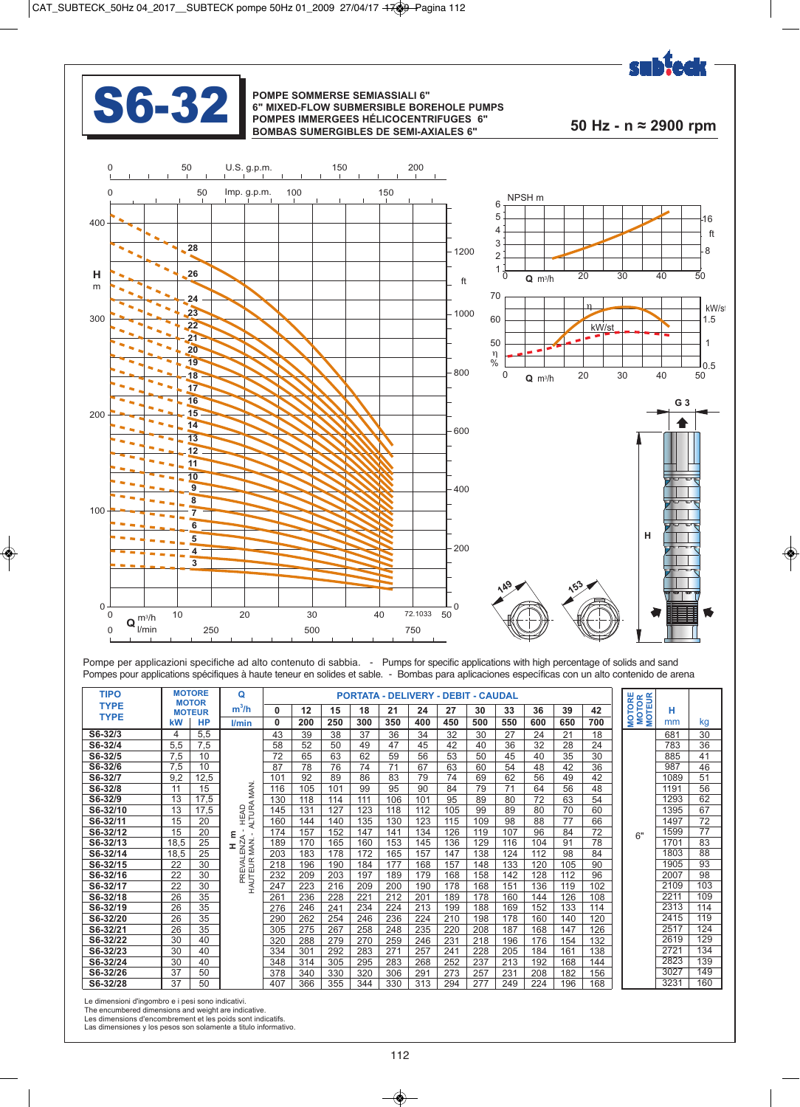

## **S6-32 POMPE SOMMERSE SEMIASSIALI 6"**<br> **SEPARE SORRES IMAGES IN ARRESTS HÉLICOCENTRE**

## **6" MIXED-FLOW SUBMERSIBLE BOREHOLE PUMPS POMPES IMMERGEES HÉLICOCENTRIFUGES 6" BOMBAS SUMERGIBLES DE SEMI-AXIALES 6" 50 Hz - n ≈ 2900 rpm**



Pompe per applicazioni specifiche ad alto contenuto di sabbia. - Pumps for specific applications with high percentage of solids and sand Pompes pour applications spécifiques à haute teneur en solides et sable. - Bombas para aplicaciones específicas con un alto contenido de arena

| <b>TIPO</b> |      | <b>MOTORE</b><br><b>MOTOR</b> | Q                                |                 |     |     |     | <b>PORTATA - DELIVERY - DEBIT - CAUDAL</b> |     |                 |     |     |     |     |     | <b>TORE</b><br><b>TOR</b><br><b>EUR</b> |      |     |
|-------------|------|-------------------------------|----------------------------------|-----------------|-----|-----|-----|--------------------------------------------|-----|-----------------|-----|-----|-----|-----|-----|-----------------------------------------|------|-----|
| <b>TYPE</b> |      | <b>MOTEUR</b>                 | m <sup>3</sup> /h                | $\mathbf 0$     | 12  | 15  | 18  | 21                                         | 24  | 27              | 30  | 33  | 36  | 39  | 42  |                                         | н    |     |
| <b>TYPE</b> | kW   | HP                            | l/min                            |                 | 200 | 250 | 300 | 350                                        | 400 | 450             | 500 | 550 | 600 | 650 | 700 | MOT<br>MOT                              | mm   | kg  |
| S6-32/3     | 4    | 5,5                           |                                  | 43              | 39  | 38  | 37  | 36                                         | 34  | 32              | 30  | 27  | 24  | 21  | 18  |                                         | 681  | 30  |
| S6-32/4     | 5,5  | 7,5                           |                                  | 58              | 52  | 50  | 49  | 47                                         | 45  | 42              | 40  | 36  | 32  | 28  | 24  |                                         | 783  | 36  |
| S6-32/5     | 7.5  | 10                            |                                  | 72              | 65  | 63  | 62  | 59                                         | 56  | 53              | 50  | 45  | 40  | 35  | 30  |                                         | 885  | 41  |
| S6-32/6     | 7,5  | 10                            |                                  | 87              | 78  | 76  | 74  | 71                                         | 67  | 63              | 60  | 54  | 48  | 42  | 36  |                                         | 987  | 46  |
| S6-32/7     | 9.2  | 12,5                          |                                  | 10              | 92  | 89  | 86  | 83                                         | 79  | 74              | 69  | 62  | 56  | 49  | 42  |                                         | 1089 | 51  |
| S6-32/8     | 11   | 15                            | ₹                                | 116             | 105 | 101 | 99  | 95                                         | 90  | 84              | 79  | 71  | 64  | 56  | 48  |                                         | 1191 | 56  |
| S6-32/9     | 13   | 17,5                          |                                  | 130             | 118 | 114 | 111 | 106                                        | 101 | 95              | 89  | 80  | 72  | 63  | 54  |                                         | 1293 | 62  |
| S6-32/10    | 13   | 17,5                          | HEAD<br>ALTURA                   | 145             | 131 | 127 | 123 | 118                                        | 112 | 105             | 99  | 89  | 80  | 70  | 60  |                                         | 1395 | 67  |
| S6-32/11    | 15   | 20                            |                                  | 160             | 144 | 140 | 135 | 130                                        | 123 | 115             | 109 | 98  | 88  | 77  | 66  |                                         | 1497 | 72  |
| S6-32/12    | 15   | 20                            | $\epsilon$ $\sim$                | 174             | 157 | 152 | 147 | 141                                        | 134 | 126             | 119 | 107 | 96  | 84  | 72  | 6"                                      | 1599 | 77  |
| S6-32/13    | 18,5 | $\overline{25}$               | H I<br>PREVALENZA<br>AUTEUR MAN. | 189             | 170 | 165 | 160 | 153                                        | 145 | 136             | 129 | 116 | 104 | 91  | 78  |                                         | 1701 | 83  |
| S6-32/14    | 18.5 | 25                            |                                  | 203             | 183 | 178 | 172 | 165                                        | 157 | 147             | 138 | 124 | 112 | 98  | 84  |                                         | 1803 | 88  |
| S6-32/15    | 22   | 30                            |                                  | 218             | 196 | 190 | 184 | 177                                        | 168 | 157             | 148 | 133 | 120 | 105 | 90  |                                         | 1905 | 93  |
| S6-32/16    | 22   | 30                            |                                  | 232             | 209 | 203 | 197 | 189                                        | 179 | 168             | 158 | 142 | 128 | 112 | 96  |                                         | 2007 | 98  |
| S6-32/17    | 22   | 30                            |                                  | 247             | 223 | 216 | 209 | 200                                        | 190 | 178             | 168 | 151 | 136 | 119 | 102 |                                         | 2109 | 103 |
| S6-32/18    | 26   | 35                            |                                  | 26 <sup>1</sup> | 236 | 228 | 221 | 212                                        | 201 | 189             | 178 | 160 | 144 | 126 | 108 |                                         | 2211 | 109 |
| S6-32/19    | 26   | 35                            |                                  | 276             | 246 | 241 | 234 | 224                                        | 213 | 199             | 188 | 169 | 152 | 133 | 114 |                                         | 2313 | 114 |
| S6-32/20    | 26   | 35                            |                                  | 290             | 262 | 254 | 246 | 236                                        | 224 | 210             | 198 | 178 | 160 | 140 | 120 |                                         | 2415 | 119 |
| S6-32/21    | 26   | 35                            |                                  | 305             | 275 | 267 | 258 | 248                                        | 235 | 220             | 208 | 187 | 168 | 147 | 126 |                                         | 2517 | 124 |
| S6-32/22    | 30   | 40                            |                                  | 320             | 288 | 279 | 270 | 259                                        | 246 | 23 <sup>′</sup> | 218 | 196 | 176 | 154 | 132 |                                         | 2619 | 129 |
| S6-32/23    | 30   | 40                            |                                  | 334             | 301 | 292 | 283 | 271                                        | 257 | 24 <sup>′</sup> | 228 | 205 | 184 | 161 | 138 |                                         | 2721 | 134 |
| S6-32/24    | 30   | 40                            |                                  | 348             | 314 | 305 | 295 | 283                                        | 268 | 252             | 237 | 213 | 192 | 168 | 144 |                                         | 2823 | 139 |
| S6-32/26    | 37   | 50                            |                                  | 378             | 340 | 330 | 320 | 306                                        | 291 | 273             | 257 | 231 | 208 | 182 | 156 |                                         | 3027 | 149 |
| S6-32/28    | 37   | 50                            |                                  | 407             | 366 | 355 | 344 | 330                                        | 313 | 294             | 277 | 249 | 224 | 196 | 168 |                                         | 3231 | 160 |

Le dimensioni d'ingombro e i pesi sono indicativi.

The encumbered dimensions and weight are indicative. Les dimensions d'encombrement et les poids sont indicatifs.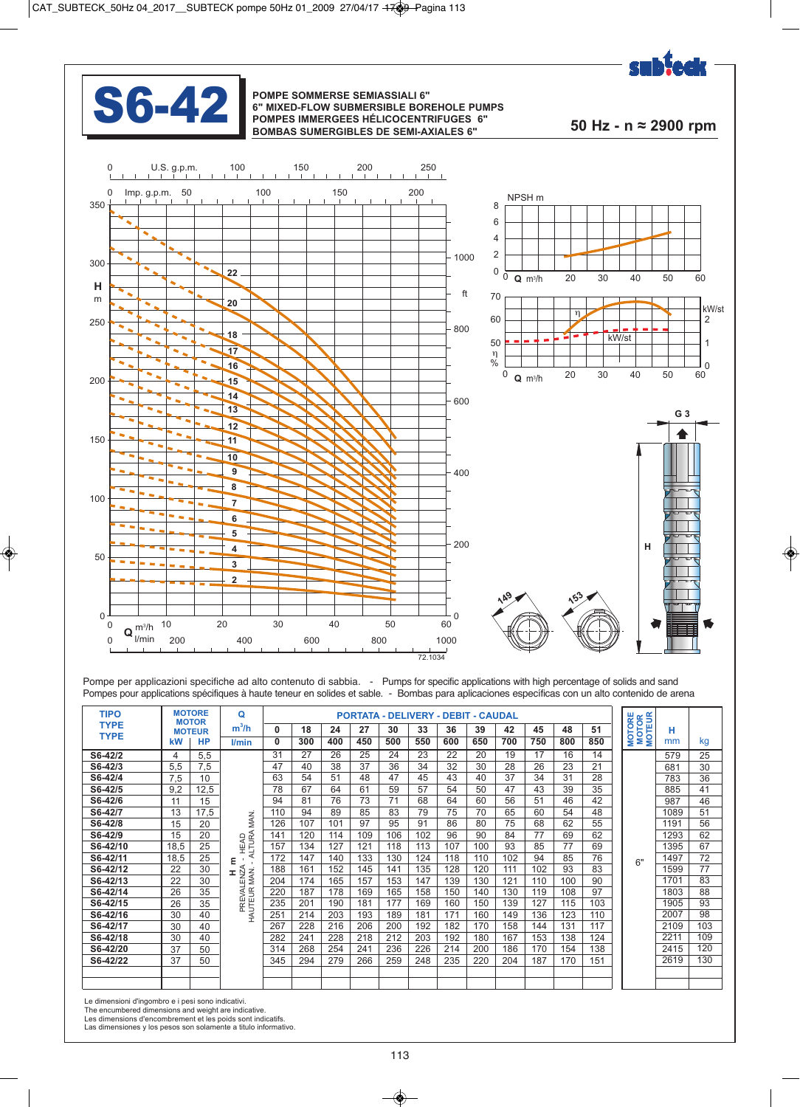



#### **S6-42 POMPE SOMMERSE SEMIASSIALI 6" 6" MIXED-FLOW SUBMERSIBLE BOR POMPES IMMERGEES HÉLICOCENTE 6" MIXED-FLOW SUBMERSIBLE BOREHOLE PUMPS POMPES IMMERGEES HÉLICOCENTRIFUGES 6" BOMBAS SUMERGIBLES DE SEMI-AXIALES 6" 50 Hz - n ≈ 2900 rpm**



Pompe per applicazioni specifiche ad alto contenuto di sabbia. - Pumps for specific applications with high percentage of solids and sand Pompes pour applications spécifiques à haute teneur en solides et sable. - Bombas para aplicaciones específicas con un alto contenido de arena

| <b>MOTORE</b><br><b>TIPO</b><br>PORTATA - DELIVERY - DEBIT - CAUDAL<br><b>MOTOR</b><br><b>MOTEUR</b><br><b>TYPE</b><br>$\begin{array}{ c c c c c c } \hline 42 & 45 & 48 \end{array}$<br>30<br>$33 \mid 36 \mid$<br>39<br>27<br>m"/h<br><b>TYPE</b><br>$kW$   HP<br>  400   450   500   550   600  <br>  650   700   750  <br>800<br> 300 <br>850<br>mm<br>I/min<br>⊣ ≶ ≊ š<br>$S6-42/2$<br>5,5<br>16<br>-24<br>579<br>-23<br>-22<br>-25<br>-20<br>41<br>681<br>$S6-42/3$<br>$\frac{5,5}{7,5}$<br>32<br>28<br>26<br>23<br>30<br>$\begin{array}{c c}\n\hline\n\overline{783} \\ \hline\n885\n\end{array}$<br>$S6-42/4$<br>$7,5$ 10<br>37<br>47<br>45<br>43<br>31<br>40<br>$S6-42/5$<br>$9,2$ 12,5<br>54<br>-50<br>-61<br>-43<br>47<br>$\begin{array}{r}\n 0.33 \\  \hline\n 987 \\  \hline\n 1089 \\  \hline\n 1191 \\  \hline\n 1293 \\  \hline\n 1395 \\  \hline\n 1197\n \end{array}$<br>$S6-42/$<br>68<br>$\frac{64}{75}$<br>60<br>56<br>51<br>46<br>$S6-42/7$<br>65<br>70<br>60<br>$13 \mid 17,5$<br>83<br>54<br>-85<br>$S6-42/8$<br>20<br>86<br>95<br>75<br>62<br>$4E$ $\overline{E}$<br>126<br>107<br>101<br>80<br>68<br>97<br>91<br>56<br>——<br>$S6-42/9$<br>20<br>114<br>96<br>$15 \quad$<br>120<br>106<br>102<br>-90<br>84<br>69<br>62<br>$\overline{25}$<br>S6-42/10<br>127<br>18.5  <br>121<br>113<br>107<br>157<br>134<br>118<br>100<br>93<br>85<br>77<br>67<br>$S6 - 42/11$<br>$\begin{array}{r} \hline 1997 \\ \hline 1197 \\ \hline 1599 \\ \hline 1701 \\ \hline 1803 \\ \hline 1905 \\ \hline 2007 \\ \hline 2109 \\ \hline 2211 \\ \hline \end{array}$<br>18.5  <br>25<br>140 <sub>1</sub><br>$172$ $\pm$<br>147<br>133<br>130<br>124<br>118<br>110<br>102<br>94<br>85<br>$ -$<br>S6-42/12<br>128<br>22<br>188<br>$152$<br>145<br>141<br>135  <br>120<br>30<br>161<br>111<br>102<br>93<br>$\frac{1}{165}$<br>S6-42/13<br>າາ<br>204<br>174<br>157<br>$153$ 147<br>$139$ 130<br>100<br>1121<br>110<br>30<br>$\epsilon$<br>$S6-42/14$<br>87   178  <br>$-5$ 158 150<br>220<br>169<br>140<br>165<br>130<br>119<br>108<br>S6-42/15<br>$\begin{array}{ c c }\n\hline\n190 \\ \hline\n203\n\end{array}$<br>$\boxed{177}$<br>169 160 150<br>181 171 160<br>235<br>$0$ 139 127<br>201<br>181<br>$\frac{1}{115}$  <br>$S6 - 42/16$<br>$\vert$ 149 $\vert$<br>251<br>214<br>193<br>189<br>$\frac{1}{136}$<br>123<br>110<br>40<br>$S6 - 42/17$<br>206<br>216<br>228<br>267<br>$-40$<br>$\frac{1}{228}$<br>241 228 218<br>268 254 241<br>109<br>282<br>S6-42/18<br>$30 \mid 40$<br>241<br><u> The Communication of the Communication of the Communication of the Communication of the Communication of the Communication of the Communication of the Communication of the Communication of the Communication of the Commun</u><br>$\frac{\overline{2415}}{\overline{2619}}$<br>$\frac{1}{314}$<br>S6-42/20<br>268<br>$37 \quad 50$<br>S6-42/22<br>$37 \mid 50$<br>$345$ 294<br>  279   266   259  <br>  248   235   220<br>$204$ 187<br>170<br>151 |  |  |  |  |  |  |
|---------------------------------------------------------------------------------------------------------------------------------------------------------------------------------------------------------------------------------------------------------------------------------------------------------------------------------------------------------------------------------------------------------------------------------------------------------------------------------------------------------------------------------------------------------------------------------------------------------------------------------------------------------------------------------------------------------------------------------------------------------------------------------------------------------------------------------------------------------------------------------------------------------------------------------------------------------------------------------------------------------------------------------------------------------------------------------------------------------------------------------------------------------------------------------------------------------------------------------------------------------------------------------------------------------------------------------------------------------------------------------------------------------------------------------------------------------------------------------------------------------------------------------------------------------------------------------------------------------------------------------------------------------------------------------------------------------------------------------------------------------------------------------------------------------------------------------------------------------------------------------------------------------------------------------------------------------------------------------------------------------------------------------------------------------------------------------------------------------------------------------------------------------------------------------------------------------------------------------------------------------------------------------------------------------------------------------------------------------------------------------------------------------------------------------------------------------------------------------------------------------------------------------------------------------------------------------------------------------------------------------------------------------------------------------------------------------------------------------------------------------------------------------------------------------------------------------------------------------------------------------------------------------------------------------------------------------|--|--|--|--|--|--|
|                                                                                                                                                                                                                                                                                                                                                                                                                                                                                                                                                                                                                                                                                                                                                                                                                                                                                                                                                                                                                                                                                                                                                                                                                                                                                                                                                                                                                                                                                                                                                                                                                                                                                                                                                                                                                                                                                                                                                                                                                                                                                                                                                                                                                                                                                                                                                                                                                                                                                                                                                                                                                                                                                                                                                                                                                                                                                                                                                         |  |  |  |  |  |  |
|                                                                                                                                                                                                                                                                                                                                                                                                                                                                                                                                                                                                                                                                                                                                                                                                                                                                                                                                                                                                                                                                                                                                                                                                                                                                                                                                                                                                                                                                                                                                                                                                                                                                                                                                                                                                                                                                                                                                                                                                                                                                                                                                                                                                                                                                                                                                                                                                                                                                                                                                                                                                                                                                                                                                                                                                                                                                                                                                                         |  |  |  |  |  |  |
|                                                                                                                                                                                                                                                                                                                                                                                                                                                                                                                                                                                                                                                                                                                                                                                                                                                                                                                                                                                                                                                                                                                                                                                                                                                                                                                                                                                                                                                                                                                                                                                                                                                                                                                                                                                                                                                                                                                                                                                                                                                                                                                                                                                                                                                                                                                                                                                                                                                                                                                                                                                                                                                                                                                                                                                                                                                                                                                                                         |  |  |  |  |  |  |
|                                                                                                                                                                                                                                                                                                                                                                                                                                                                                                                                                                                                                                                                                                                                                                                                                                                                                                                                                                                                                                                                                                                                                                                                                                                                                                                                                                                                                                                                                                                                                                                                                                                                                                                                                                                                                                                                                                                                                                                                                                                                                                                                                                                                                                                                                                                                                                                                                                                                                                                                                                                                                                                                                                                                                                                                                                                                                                                                                         |  |  |  |  |  |  |
|                                                                                                                                                                                                                                                                                                                                                                                                                                                                                                                                                                                                                                                                                                                                                                                                                                                                                                                                                                                                                                                                                                                                                                                                                                                                                                                                                                                                                                                                                                                                                                                                                                                                                                                                                                                                                                                                                                                                                                                                                                                                                                                                                                                                                                                                                                                                                                                                                                                                                                                                                                                                                                                                                                                                                                                                                                                                                                                                                         |  |  |  |  |  |  |
|                                                                                                                                                                                                                                                                                                                                                                                                                                                                                                                                                                                                                                                                                                                                                                                                                                                                                                                                                                                                                                                                                                                                                                                                                                                                                                                                                                                                                                                                                                                                                                                                                                                                                                                                                                                                                                                                                                                                                                                                                                                                                                                                                                                                                                                                                                                                                                                                                                                                                                                                                                                                                                                                                                                                                                                                                                                                                                                                                         |  |  |  |  |  |  |
|                                                                                                                                                                                                                                                                                                                                                                                                                                                                                                                                                                                                                                                                                                                                                                                                                                                                                                                                                                                                                                                                                                                                                                                                                                                                                                                                                                                                                                                                                                                                                                                                                                                                                                                                                                                                                                                                                                                                                                                                                                                                                                                                                                                                                                                                                                                                                                                                                                                                                                                                                                                                                                                                                                                                                                                                                                                                                                                                                         |  |  |  |  |  |  |
|                                                                                                                                                                                                                                                                                                                                                                                                                                                                                                                                                                                                                                                                                                                                                                                                                                                                                                                                                                                                                                                                                                                                                                                                                                                                                                                                                                                                                                                                                                                                                                                                                                                                                                                                                                                                                                                                                                                                                                                                                                                                                                                                                                                                                                                                                                                                                                                                                                                                                                                                                                                                                                                                                                                                                                                                                                                                                                                                                         |  |  |  |  |  |  |
|                                                                                                                                                                                                                                                                                                                                                                                                                                                                                                                                                                                                                                                                                                                                                                                                                                                                                                                                                                                                                                                                                                                                                                                                                                                                                                                                                                                                                                                                                                                                                                                                                                                                                                                                                                                                                                                                                                                                                                                                                                                                                                                                                                                                                                                                                                                                                                                                                                                                                                                                                                                                                                                                                                                                                                                                                                                                                                                                                         |  |  |  |  |  |  |
|                                                                                                                                                                                                                                                                                                                                                                                                                                                                                                                                                                                                                                                                                                                                                                                                                                                                                                                                                                                                                                                                                                                                                                                                                                                                                                                                                                                                                                                                                                                                                                                                                                                                                                                                                                                                                                                                                                                                                                                                                                                                                                                                                                                                                                                                                                                                                                                                                                                                                                                                                                                                                                                                                                                                                                                                                                                                                                                                                         |  |  |  |  |  |  |
|                                                                                                                                                                                                                                                                                                                                                                                                                                                                                                                                                                                                                                                                                                                                                                                                                                                                                                                                                                                                                                                                                                                                                                                                                                                                                                                                                                                                                                                                                                                                                                                                                                                                                                                                                                                                                                                                                                                                                                                                                                                                                                                                                                                                                                                                                                                                                                                                                                                                                                                                                                                                                                                                                                                                                                                                                                                                                                                                                         |  |  |  |  |  |  |
|                                                                                                                                                                                                                                                                                                                                                                                                                                                                                                                                                                                                                                                                                                                                                                                                                                                                                                                                                                                                                                                                                                                                                                                                                                                                                                                                                                                                                                                                                                                                                                                                                                                                                                                                                                                                                                                                                                                                                                                                                                                                                                                                                                                                                                                                                                                                                                                                                                                                                                                                                                                                                                                                                                                                                                                                                                                                                                                                                         |  |  |  |  |  |  |
|                                                                                                                                                                                                                                                                                                                                                                                                                                                                                                                                                                                                                                                                                                                                                                                                                                                                                                                                                                                                                                                                                                                                                                                                                                                                                                                                                                                                                                                                                                                                                                                                                                                                                                                                                                                                                                                                                                                                                                                                                                                                                                                                                                                                                                                                                                                                                                                                                                                                                                                                                                                                                                                                                                                                                                                                                                                                                                                                                         |  |  |  |  |  |  |
|                                                                                                                                                                                                                                                                                                                                                                                                                                                                                                                                                                                                                                                                                                                                                                                                                                                                                                                                                                                                                                                                                                                                                                                                                                                                                                                                                                                                                                                                                                                                                                                                                                                                                                                                                                                                                                                                                                                                                                                                                                                                                                                                                                                                                                                                                                                                                                                                                                                                                                                                                                                                                                                                                                                                                                                                                                                                                                                                                         |  |  |  |  |  |  |
|                                                                                                                                                                                                                                                                                                                                                                                                                                                                                                                                                                                                                                                                                                                                                                                                                                                                                                                                                                                                                                                                                                                                                                                                                                                                                                                                                                                                                                                                                                                                                                                                                                                                                                                                                                                                                                                                                                                                                                                                                                                                                                                                                                                                                                                                                                                                                                                                                                                                                                                                                                                                                                                                                                                                                                                                                                                                                                                                                         |  |  |  |  |  |  |
|                                                                                                                                                                                                                                                                                                                                                                                                                                                                                                                                                                                                                                                                                                                                                                                                                                                                                                                                                                                                                                                                                                                                                                                                                                                                                                                                                                                                                                                                                                                                                                                                                                                                                                                                                                                                                                                                                                                                                                                                                                                                                                                                                                                                                                                                                                                                                                                                                                                                                                                                                                                                                                                                                                                                                                                                                                                                                                                                                         |  |  |  |  |  |  |
|                                                                                                                                                                                                                                                                                                                                                                                                                                                                                                                                                                                                                                                                                                                                                                                                                                                                                                                                                                                                                                                                                                                                                                                                                                                                                                                                                                                                                                                                                                                                                                                                                                                                                                                                                                                                                                                                                                                                                                                                                                                                                                                                                                                                                                                                                                                                                                                                                                                                                                                                                                                                                                                                                                                                                                                                                                                                                                                                                         |  |  |  |  |  |  |
|                                                                                                                                                                                                                                                                                                                                                                                                                                                                                                                                                                                                                                                                                                                                                                                                                                                                                                                                                                                                                                                                                                                                                                                                                                                                                                                                                                                                                                                                                                                                                                                                                                                                                                                                                                                                                                                                                                                                                                                                                                                                                                                                                                                                                                                                                                                                                                                                                                                                                                                                                                                                                                                                                                                                                                                                                                                                                                                                                         |  |  |  |  |  |  |
|                                                                                                                                                                                                                                                                                                                                                                                                                                                                                                                                                                                                                                                                                                                                                                                                                                                                                                                                                                                                                                                                                                                                                                                                                                                                                                                                                                                                                                                                                                                                                                                                                                                                                                                                                                                                                                                                                                                                                                                                                                                                                                                                                                                                                                                                                                                                                                                                                                                                                                                                                                                                                                                                                                                                                                                                                                                                                                                                                         |  |  |  |  |  |  |
|                                                                                                                                                                                                                                                                                                                                                                                                                                                                                                                                                                                                                                                                                                                                                                                                                                                                                                                                                                                                                                                                                                                                                                                                                                                                                                                                                                                                                                                                                                                                                                                                                                                                                                                                                                                                                                                                                                                                                                                                                                                                                                                                                                                                                                                                                                                                                                                                                                                                                                                                                                                                                                                                                                                                                                                                                                                                                                                                                         |  |  |  |  |  |  |
|                                                                                                                                                                                                                                                                                                                                                                                                                                                                                                                                                                                                                                                                                                                                                                                                                                                                                                                                                                                                                                                                                                                                                                                                                                                                                                                                                                                                                                                                                                                                                                                                                                                                                                                                                                                                                                                                                                                                                                                                                                                                                                                                                                                                                                                                                                                                                                                                                                                                                                                                                                                                                                                                                                                                                                                                                                                                                                                                                         |  |  |  |  |  |  |
|                                                                                                                                                                                                                                                                                                                                                                                                                                                                                                                                                                                                                                                                                                                                                                                                                                                                                                                                                                                                                                                                                                                                                                                                                                                                                                                                                                                                                                                                                                                                                                                                                                                                                                                                                                                                                                                                                                                                                                                                                                                                                                                                                                                                                                                                                                                                                                                                                                                                                                                                                                                                                                                                                                                                                                                                                                                                                                                                                         |  |  |  |  |  |  |
|                                                                                                                                                                                                                                                                                                                                                                                                                                                                                                                                                                                                                                                                                                                                                                                                                                                                                                                                                                                                                                                                                                                                                                                                                                                                                                                                                                                                                                                                                                                                                                                                                                                                                                                                                                                                                                                                                                                                                                                                                                                                                                                                                                                                                                                                                                                                                                                                                                                                                                                                                                                                                                                                                                                                                                                                                                                                                                                                                         |  |  |  |  |  |  |
|                                                                                                                                                                                                                                                                                                                                                                                                                                                                                                                                                                                                                                                                                                                                                                                                                                                                                                                                                                                                                                                                                                                                                                                                                                                                                                                                                                                                                                                                                                                                                                                                                                                                                                                                                                                                                                                                                                                                                                                                                                                                                                                                                                                                                                                                                                                                                                                                                                                                                                                                                                                                                                                                                                                                                                                                                                                                                                                                                         |  |  |  |  |  |  |
|                                                                                                                                                                                                                                                                                                                                                                                                                                                                                                                                                                                                                                                                                                                                                                                                                                                                                                                                                                                                                                                                                                                                                                                                                                                                                                                                                                                                                                                                                                                                                                                                                                                                                                                                                                                                                                                                                                                                                                                                                                                                                                                                                                                                                                                                                                                                                                                                                                                                                                                                                                                                                                                                                                                                                                                                                                                                                                                                                         |  |  |  |  |  |  |

Le dimensioni d'ingombro e i pesi sono indicativi.

The encumbered dimensions and weight are indicative. Les dimensions d'encombrement et les poids sont indicatifs.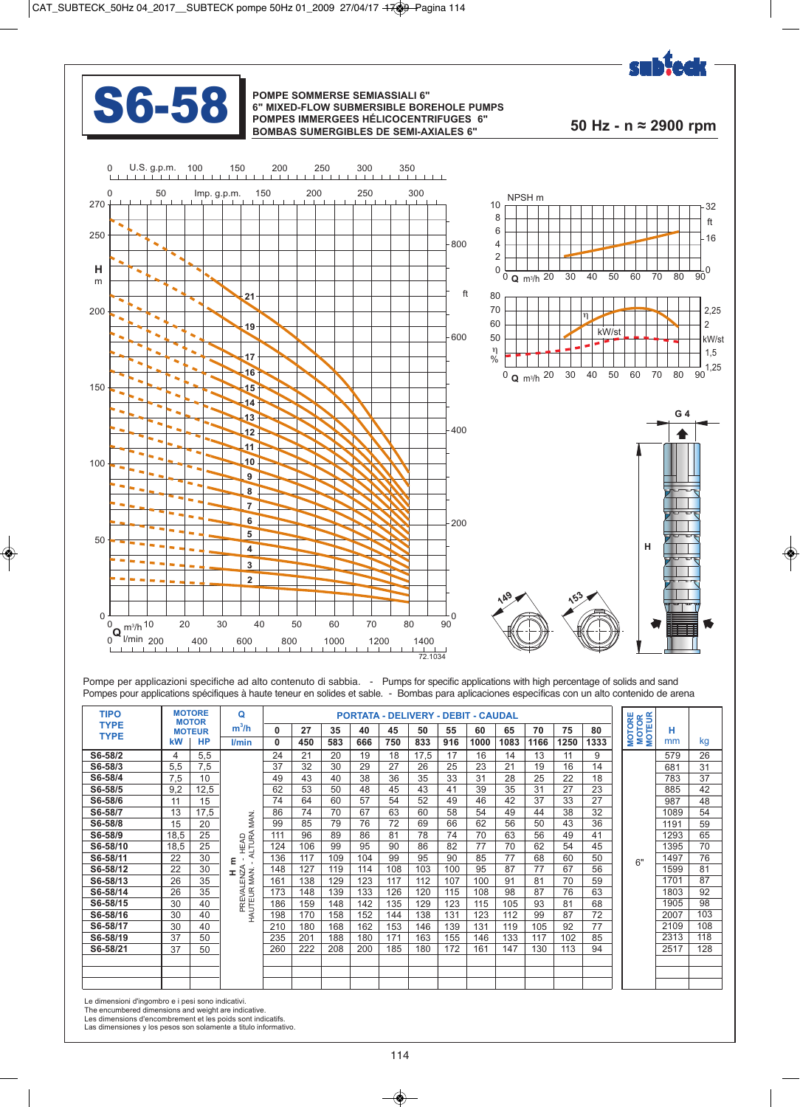



#### **S6-58** POMPE SOMMERSE SEMIASSIALI 6"<br>POMPES IMMERGEES HÉLICOCENTR **6" MIXED-FLOW SUBMERSIBLE BOREHOLE PUMPS POMPES IMMERGEES HÉLICOCENTRIFUGES 6" BOMBAS SUMERGIBLES DE SEMI-AXIALES 6" 50 Hz - n ≈ 2900 rpm**



Pompe per applicazioni specifiche ad alto contenuto di sabbia. - Pumps for specific applications with high percentage of solids and sand Pompes pour applications spécifiques à haute teneur en solides et sable. - Bombas para aplicaciones específicas con un alto contenido de arena

| <b>TIPO</b> |      | <b>MOTORE</b><br><b>MOTOR</b> | Q                                                                                                                                                                                                                                                                                                                      |              |     |     |     |     |      |     | PORTATA - DELIVERY - DEBIT - CAUDAL |      |      |      |      | <b>MOTORE</b><br>MOTOR<br>MOTEUR |      |     |
|-------------|------|-------------------------------|------------------------------------------------------------------------------------------------------------------------------------------------------------------------------------------------------------------------------------------------------------------------------------------------------------------------|--------------|-----|-----|-----|-----|------|-----|-------------------------------------|------|------|------|------|----------------------------------|------|-----|
| <b>TYPE</b> |      | <b>MOTEUR</b>                 | $m^3/h$                                                                                                                                                                                                                                                                                                                | $\mathbf{0}$ | 27  | 35  | 40  | 45  | 50   | 55  | 60                                  | 65   | 70   | 75   | 80   |                                  | н    |     |
| <b>TYPE</b> | kW   | <b>HP</b>                     | l/min                                                                                                                                                                                                                                                                                                                  | $\mathbf{0}$ | 450 | 583 | 666 | 750 | 833  | 916 | 1000                                | 1083 | 1166 | 1250 | 1333 |                                  | mm   | kg  |
| S6-58/2     | 4    | 5,5                           |                                                                                                                                                                                                                                                                                                                        | 24           | 21  | 20  | 19  | 18  | 17,5 | 17  | 16                                  | 14   | 13   |      | 9    |                                  | 579  | 26  |
| S6-58/3     | 5,5  | 7,5                           |                                                                                                                                                                                                                                                                                                                        | 37           | 32  | 30  | 29  | 27  | 26   | 25  | 23                                  | 21   | 19   | 16   | 14   |                                  | 681  | 31  |
| S6-58/4     | 7,5  | 10                            |                                                                                                                                                                                                                                                                                                                        | 49           | 43  | 40  | 38  | 36  | 35   | 33  | 31                                  | 28   | 25   | 22   | 18   |                                  | 783  | 37  |
| S6-58/5     | 9.2  | 12,5                          |                                                                                                                                                                                                                                                                                                                        | 62           | 53  | 50  | 48  | 45  | 43   | 41  | 39                                  | 35   | 31   | 27   | 23   |                                  | 885  | 42  |
| S6-58/6     | 11   | 15                            |                                                                                                                                                                                                                                                                                                                        | 74           | 64  | 60  | 57  | 54  | 52   | 49  | 46                                  | 42   | 37   | 33   | 27   |                                  | 987  | 48  |
| S6-58/7     | 13   | 17,5                          |                                                                                                                                                                                                                                                                                                                        | 86           | 74  | 70  | 67  | 63  | 60   | 58  | 54                                  | 49   | 44   | 38   | 32   |                                  | 1089 | 54  |
| S6-58/8     | 15   | 20                            | MAN.                                                                                                                                                                                                                                                                                                                   | 99           | 85  | 79  | 76  | 72  | 69   | 66  | 62                                  | 56   | 50   | 43   | 36   |                                  | 1191 | 59  |
| S6-58/9     | 18,5 | 25                            | HEAD<br>ALTURA                                                                                                                                                                                                                                                                                                         | 111          | 96  | 89  | 86  | 81  | 78   | 74  | 70                                  | 63   | 56   | 49   | 41   |                                  | 1293 | 65  |
| S6-58/10    | 18,5 | 25                            |                                                                                                                                                                                                                                                                                                                        | 124          | 106 | 99  | 95  | 90  | 86   | 82  | 77                                  | 70   | 62   | 54   | 45   |                                  | 1395 | 70  |
| S6-58/11    | 22   | 30                            | Ε                                                                                                                                                                                                                                                                                                                      | 136          | 117 | 109 | 104 | 99  | 95   | 90  | 85                                  | 77   | 68   | 60   | 50   | 6"                               | 1497 | 76  |
| S6-58/12    | 22   | 30                            |                                                                                                                                                                                                                                                                                                                        | 148          | 127 | 119 | 114 | 108 | 103  | 100 | 95                                  | 87   | 77   | 67   | 56   |                                  | 1599 | 81  |
| S6-58/13    | 26   | 35                            | $=$ $\frac{1}{2}$ $\frac{1}{2}$ $\frac{1}{2}$ $\frac{1}{2}$ $\frac{1}{2}$ $\frac{1}{2}$ $\frac{1}{2}$ $\frac{1}{2}$ $\frac{1}{2}$ $\frac{1}{2}$ $\frac{1}{2}$ $\frac{1}{2}$ $\frac{1}{2}$ $\frac{1}{2}$ $\frac{1}{2}$ $\frac{1}{2}$ $\frac{1}{2}$ $\frac{1}{2}$ $\frac{1}{2}$ $\frac{1}{2}$ $\frac{1}{2}$ $\frac{1}{2$ | 161          | 138 | 129 | 123 | 117 | 112  | 107 | 100                                 | 91   | 81   | 70   | 59   |                                  | 1701 | 87  |
| S6-58/14    | 26   | 35                            |                                                                                                                                                                                                                                                                                                                        | 173          | 148 | 139 | 133 | 126 | 120  | 115 | 108                                 | 98   | 87   | 76   | 63   |                                  | 1803 | 92  |
| S6-58/15    | 30   | 40                            |                                                                                                                                                                                                                                                                                                                        | 186          | 159 | 148 | 142 | 135 | 129  | 123 | 115                                 | 105  | 93   | 81   | 68   |                                  | 1905 | 98  |
| S6-58/16    | 30   | 40                            | PREVAL<br>HAUTEUR I                                                                                                                                                                                                                                                                                                    | 198          | 170 | 158 | 152 | 144 | 138  | 131 | 123                                 | 112  | 99   | 87   | 72   |                                  | 2007 | 103 |
| S6-58/17    | 30   | 40                            |                                                                                                                                                                                                                                                                                                                        | 210          | 180 | 168 | 162 | 153 | 146  | 139 | 131                                 | 119  | 105  | 92   | 77   |                                  | 2109 | 108 |
| S6-58/19    | 37   | 50                            |                                                                                                                                                                                                                                                                                                                        | 235          | 201 | 188 | 180 | 171 | 163  | 155 | 146                                 | 133  | 117  | 102  | 85   |                                  | 2313 | 118 |
| S6-58/21    | 37   | 50                            |                                                                                                                                                                                                                                                                                                                        | 260          | 222 | 208 | 200 | 185 | 180  | 172 | 161                                 | 147  | 130  | 113  | 94   |                                  | 2517 | 128 |
|             |      |                               |                                                                                                                                                                                                                                                                                                                        |              |     |     |     |     |      |     |                                     |      |      |      |      |                                  |      |     |
|             |      |                               |                                                                                                                                                                                                                                                                                                                        |              |     |     |     |     |      |     |                                     |      |      |      |      |                                  |      |     |
|             |      |                               |                                                                                                                                                                                                                                                                                                                        |              |     |     |     |     |      |     |                                     |      |      |      |      |                                  |      |     |

Le dimensioni d'ingombro e i pesi sono indicativi.

The encumbered dimensions and weight are indicative. Les dimensions d'encombrement et les poids sont indicatifs.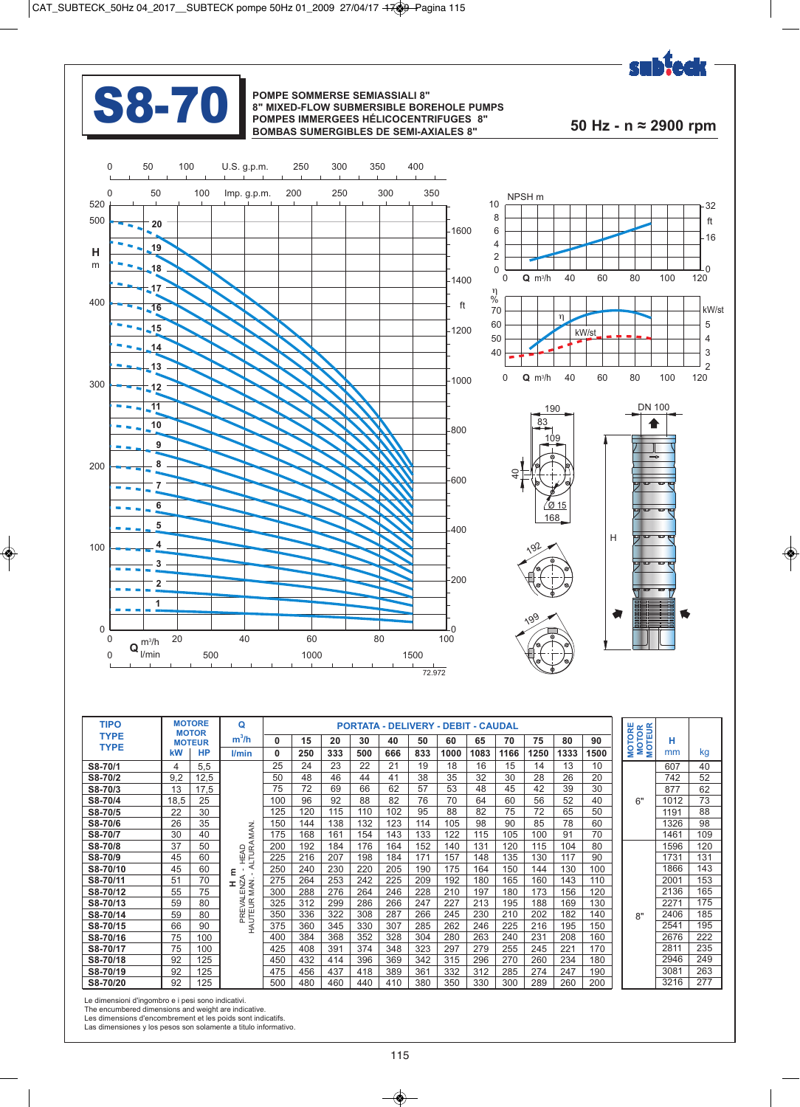



#### **S8-70** POMPE SOMMERSE SEMIASSIALI 8"<br>
POMPES IMMERGEES HÉLICOCENTR **8" MIXED-FLOW SUBMERSIBLE BOREHOLE PUMPS POMPES IMMERGEES HÉLICOCENTRIFUGES 8" BOMBAS SUMERGIBLES DE SEMI-AXIALES 8" 50 Hz - n ≈ 2900 rpm**







| <b>TIPO</b> |      | <b>MOTORE</b><br><b>MOTOR</b> | $\Omega$               |          |     |     |     |     |     | <b>PORTATA - DELIVERY - DEBIT - CAUDAL</b> |      |      |      |      |      | <b>MOTORE</b><br>MOTOR<br>MOTEUR |      |     |
|-------------|------|-------------------------------|------------------------|----------|-----|-----|-----|-----|-----|--------------------------------------------|------|------|------|------|------|----------------------------------|------|-----|
| <b>TYPE</b> |      | <b>MOTEUR</b>                 | $m^3/h$                | 0        | 15  | 20  | 30  | 40  | 50  | 60                                         | 65   | 70   | 75   | 80   | 90   |                                  | н    |     |
| <b>TYPE</b> | kW   | <b>HP</b>                     | l/min                  | $\bf{0}$ | 250 | 333 | 500 | 666 | 833 | 1000                                       | 1083 | 1166 | 1250 | 1333 | 1500 |                                  | mm   | kg  |
| S8-70/1     | 4    | 5,5                           |                        | 25       | 24  | 23  | 22  | 21  | 19  | 18                                         | 16   | 15   | 14   | 13   | 10   |                                  | 607  | 40  |
| S8-70/2     | 9,2  | 12,5                          |                        | 50       | 48  | 46  | 44  | 41  | 38  | 35                                         | 32   | 30   | 28   | 26   | 20   |                                  | 742  | 52  |
| S8-70/3     | 13   | 17,5                          |                        | 75       | 72  | 69  | 66  | 62  | 57  | 53                                         | 48   | 45   | 42   | 39   | 30   |                                  | 877  | 62  |
| S8-70/4     | 18.5 | 25                            |                        | 100      | 96  | 92  | 88  | 82  | 76  | 70                                         | 64   | 60   | 56   | 52   | 40   | 6"                               | 1012 | 73  |
| S8-70/5     | 22   | 30                            |                        | 125      | 120 | 115 | 110 | 102 | 95  | 88                                         | 82   | 75   | 72   | 65   | 50   |                                  | 1191 | 88  |
| S8-70/6     | 26   | 35                            |                        | 150      | 144 | 138 | 132 | 123 | 114 | 105                                        | 98   | 90   | 85   | 78   | 60   |                                  | 1326 | 98  |
| S8-70/7     | 30   | 40                            | MAN.                   | 175      | 168 | 161 | 154 | 143 | 133 | 122                                        | 115  | 105  | 100  | 91   | 70   |                                  | 1461 | 109 |
| S8-70/8     | 37   | 50                            | - HEAD<br>ALTURA       | 200      | 192 | 184 | 176 | 164 | 152 | 140                                        | 131  | 120  | 115  | 104  | 80   |                                  | 1596 | 120 |
| S8-70/9     | 45   | 60                            |                        | 225      | 216 | 207 | 198 | 184 | 171 | 157                                        | 148  | 135  | 130  | 117  | 90   |                                  | 1731 | 131 |
| S8-70/10    | 45   | 60                            | ε                      | 250      | 240 | 230 | 220 | 205 | 190 | 175                                        | 164  | 150  | 144  | 130  | 100  |                                  | 1866 | 143 |
| S8-70/11    | 51   | 70                            | ✓<br>x.                | 275      | 264 | 253 | 242 | 225 | 209 | 192                                        | 180  | 165  | 160  | 143  | 110  |                                  | 2001 | 153 |
| S8-70/12    | 55   | 75                            | MAN.<br>EN2            | 300      | 288 | 276 | 264 | 246 | 228 | 210                                        | 197  | 180  | 173  | 156  | 120  |                                  | 2136 | 165 |
| S8-70/13    | 59   | 80                            |                        | 325      | 312 | 299 | 286 | 266 | 247 | 227                                        | 213  | 195  | 188  | 169  | 130  |                                  | 2271 | 175 |
| S8-70/14    | 59   | 80                            | PREVAL<br>HAUTEUR<br>Æ | 350      | 336 | 322 | 308 | 287 | 266 | 245                                        | 230  | 210  | 202  | 182  | 140  | R''                              | 2406 | 185 |
| S8-70/15    | 66   | 90                            |                        | 375      | 360 | 345 | 330 | 307 | 285 | 262                                        | 246  | 225  | 216  | 195  | 150  |                                  | 2541 | 195 |
| S8-70/16    | 75   | 100                           |                        | 400      | 384 | 368 | 352 | 328 | 304 | 280                                        | 263  | 240  | 231  | 208  | 160  |                                  | 2676 | 222 |
| S8-70/17    | 75   | 100                           |                        | 425      | 408 | 391 | 374 | 348 | 323 | 297                                        | 279  | 255  | 245  | 221  | 170  |                                  | 2811 | 235 |
| S8-70/18    | 92   | 125                           |                        | 450      | 432 | 414 | 396 | 369 | 342 | 315                                        | 296  | 270  | 260  | 234  | 180  |                                  | 2946 | 249 |
| S8-70/19    | 92   | 125                           |                        | 475      | 456 | 437 | 418 | 389 | 361 | 332                                        | 312  | 285  | 274  | 247  | 190  |                                  | 3081 | 263 |
| S8-70/20    | 92   | 125                           |                        | 500      | 480 | 460 | 440 | 410 | 380 | 350                                        | 330  | 300  | 289  | 260  | 200  |                                  | 3216 | 277 |

Le dimensioni d'ingombro e i pesi sono indicativi. The encumbered dimensions and weight are indicative.

Les dimensions d'encombrement et les poids sont indicatifs. Las dimensiones y los pesos son solamente a titulo informativo.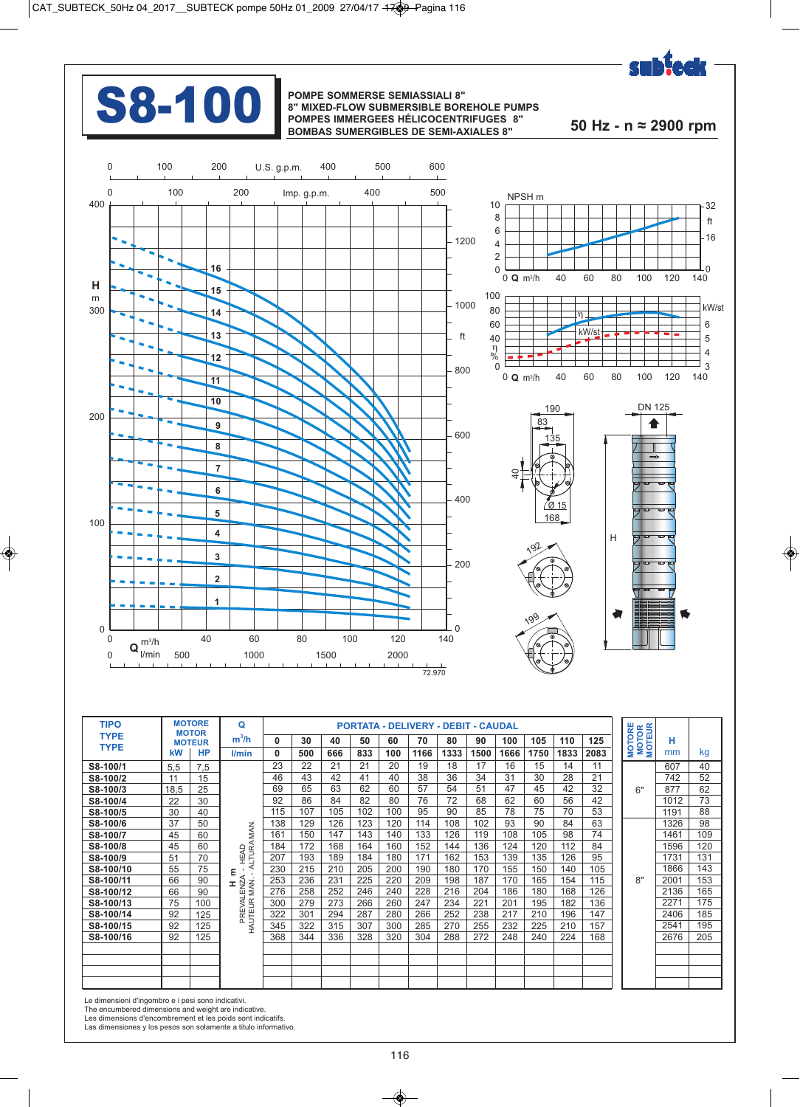

## **S8-100** POMPE SOMMERSE SEMIASSIALI 8"<br>POMPES IMMERGEES HÉLICOCENTR

## **8" MIXED-FLOW SUBMERSIBLE BOREHOLE PUMPS POMPES IMMERGEES HÉLICOCENTRIFUGES 8" BOMBAS SUMERGIBLES DE SEMI-AXIALES 8" 50 Hz - n ≈ 2900 rpm**







| <b>TIPO</b> |      | <b>MOTORE</b><br><b>MOTOR</b> | Q                    |     |     |     |     |     | <b>PORTATA - DELIVERY - DEBIT - CAUDAL</b> |      |      |      |      |      |      | <b>MOTORE</b><br>MOTOR<br>MOTEUR |      |     |
|-------------|------|-------------------------------|----------------------|-----|-----|-----|-----|-----|--------------------------------------------|------|------|------|------|------|------|----------------------------------|------|-----|
| <b>TYPE</b> |      | <b>MOTEUR</b>                 | $m^3/h$              | 0   | 30  | 40  | 50  | 60  | 70                                         | 80   | 90   | 100  | 105  | 110  | 125  |                                  | н    |     |
| <b>TYPE</b> | kW   | <b>HP</b>                     | l/min                | 0   | 500 | 666 | 833 | 100 | 1166                                       | 1333 | 1500 | 1666 | 1750 | 1833 | 2083 |                                  | mm   | kg  |
| S8-100/1    | 5.5  | 7,5                           |                      | 23  | 22  | 21  | 21  | 20  | 19                                         | 18   | 17   | 16   | 15   | 14   | 11   |                                  | 607  | 40  |
| S8-100/2    | 11   | 15                            |                      | 46  | 43  | 42  | 41  | 40  | 38                                         | 36   | 34   | 31   | 30   | 28   | 21   |                                  | 742  | 52  |
| S8-100/3    | 18,5 | 25                            |                      | 69  | 65  | 63  | 62  | 60  | 57                                         | 54   | 51   | 47   | 45   | 42   | 32   | 6"                               | 877  | 62  |
| S8-100/4    | 22   | 30                            |                      | 92  | 86  | 84  | 82  | 80  | 76                                         | 72   | 68   | 62   | 60   | 56   | 42   |                                  | 1012 | 73  |
| S8-100/5    | 30   | 40                            |                      | 115 | 107 | 105 | 102 | 100 | 95                                         | 90   | 85   | 78   | 75   | 70   | 53   |                                  | 1191 | 88  |
| S8-100/6    | 37   | 50                            | MAN.                 | 138 | 129 | 126 | 123 | 120 | 114                                        | 108  | 102  | 93   | 90   | 84   | 63   |                                  | 1326 | 98  |
| S8-100/7    | 45   | 60                            |                      | 161 | 150 | 147 | 143 | 140 | 133                                        | 126  | 119  | 108  | 105  | 98   | 74   |                                  | 1461 | 109 |
| S8-100/8    | 45   | 60                            | HEAD<br>ALTURA       | 184 | 172 | 168 | 164 | 160 | 152                                        | 144  | 136  | 124  | 120  | 112  | 84   |                                  | 1596 | 120 |
| S8-100/9    | 51   | 70                            |                      | 207 | 193 | 189 | 184 | 180 | 171                                        | 162  | 153  | 139  | 135  | 126  | 95   |                                  | 1731 | 131 |
| S8-100/10   | 55   | 75                            | ε                    | 230 | 215 | 210 | 205 | 200 | 190                                        | 180  | 170  | 155  | 150  | 140  | 105  |                                  | 1866 | 143 |
| S8-100/11   | 66   | 90                            | Ŧ,                   | 253 | 236 | 231 | 225 | 220 | 209                                        | 198  | 187  | 170  | 165  | 154  | 115  | R''                              | 2001 | 153 |
| S8-100/12   | 66   | 90                            | LENZI<br>MAN         | 276 | 258 | 252 | 246 | 240 | 228                                        | 216  | 204  | 186  | 180  | 168  | 126  |                                  | 2136 | 165 |
| S8-100/13   | 75   | 100                           | PREVALE<br>HAUTEUR N | 300 | 279 | 273 | 266 | 260 | 247                                        | 234  | 221  | 201  | 195  | 182  | 136  |                                  | 2271 | 175 |
| S8-100/14   | 92   | 125                           |                      | 322 | 301 | 294 | 287 | 280 | 266                                        | 252  | 238  | 217  | 210  | 196  | 147  |                                  | 2406 | 185 |
| S8-100/15   | 92   | 125                           |                      | 345 | 322 | 315 | 307 | 300 | 285                                        | 270  | 255  | 232  | 225  | 210  | 157  |                                  | 2541 | 195 |
| S8-100/16   | 92   | 125                           |                      | 368 | 344 | 336 | 328 | 320 | 304                                        | 288  | 272  | 248  | 240  | 224  | 168  |                                  | 2676 | 205 |
|             |      |                               |                      |     |     |     |     |     |                                            |      |      |      |      |      |      |                                  |      |     |
|             |      |                               |                      |     |     |     |     |     |                                            |      |      |      |      |      |      |                                  |      |     |
|             |      |                               |                      |     |     |     |     |     |                                            |      |      |      |      |      |      |                                  |      |     |
|             |      |                               |                      |     |     |     |     |     |                                            |      |      |      |      |      |      |                                  |      |     |

Le dimensioni d'ingombro e i pesi sono indicativi. The encumbered dimensions and weight are indicative.

Les dimensions d'encombrement et les poids sont indicatifs. Las dimensiones y los pesos son solamente a titulo informativo.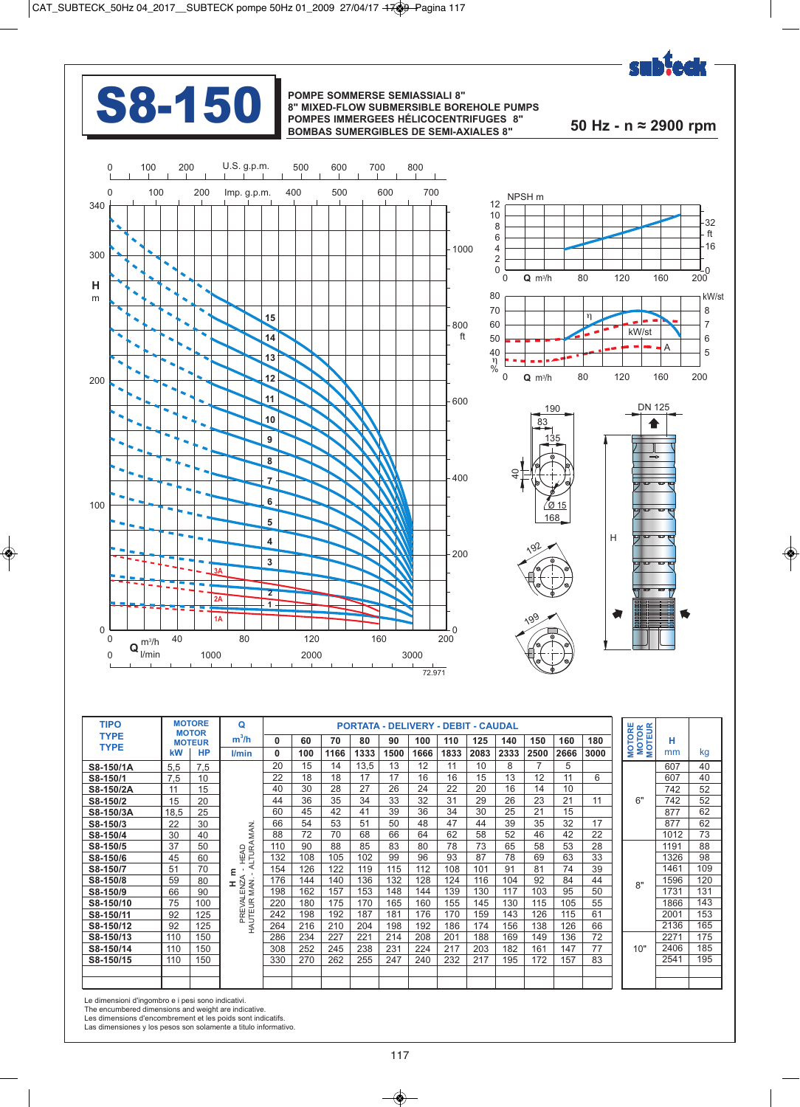

## **S8-150** POMPE SOMMERSE SEMIASSIALI 8"<br>POMPES IMMERGEES HÉLICOCENTR

## **8" MIXED-FLOW SUBMERSIBLE BOREHOLE PUMPS POMPES IMMERGEES HÉLICOCENTRIFUGES 8" BOMBAS SUMERGIBLES DE SEMI-AXIALES 8" 50 Hz - n ≈ 2900 rpm**







| <b>TIPO</b>                |      | <b>MOTORE</b><br><b>MOTOR</b> | Q                          |     |     |      |      |      | <b>PORTATA - DELIVERY - DEBIT - CAUDAL</b> |      |      |      |      |      |      | <b>MOTOR</b><br>MOTEUR |      |     |
|----------------------------|------|-------------------------------|----------------------------|-----|-----|------|------|------|--------------------------------------------|------|------|------|------|------|------|------------------------|------|-----|
| <b>TYPE</b><br><b>TYPE</b> |      | <b>MOTEUR</b>                 | $m^3/h$                    | O   | 60  | 70   | 80   | 90   | 100                                        | 110  | 125  | 140  | 150  | 160  | 180  | <b>MOTORE</b>          | н    |     |
|                            | kW   | <b>HP</b>                     | l/min                      | 0   | 100 | 1166 | 1333 | 1500 | 1666                                       | 1833 | 2083 | 2333 | 2500 | 2666 | 3000 |                        | mm   | kg  |
| S8-150/1A                  | 5.5  | 7.5                           |                            | 20  | 15  | 14   | 13,5 | 13   | 12                                         | 11   | 10   | 8    |      | 5    |      |                        | 607  | 40  |
| S8-150/1                   | 7.5  | 10                            |                            | 22  | 18  | 18   | 17   | 17   | 16                                         | 16   | 15   | 13   | 12   | 11   | 6    |                        | 607  | 40  |
| S8-150/2A                  | 11   | 15                            |                            | 40  | 30  | 28   | 27   | 26   | 24                                         | 22   | 20   | 16   | 14   | 10   |      |                        | 742  | 52  |
| S8-150/2                   | 15   | 20                            |                            | 44  | 36  | 35   | 34   | 33   | 32                                         | 31   | 29   | 26   | 23   | 21   | 11   | 6"                     | 742  | 52  |
| S8-150/3A                  | 18.5 | 25                            |                            | 60  | 45  | 42   | 41   | 39   | 36                                         | 34   | 30   | 25   | 21   | 15   |      |                        | 877  | 62  |
| S8-150/3                   | 22   | 30                            |                            | 66  | 54  | 53   | 51   | 50   | 48                                         | 47   | 44   | 39   | 35   | 32   | 17   |                        | 877  | 62  |
| S8-150/4                   | 30   | 40                            | MAN.                       | 88  | 72  | 70   | 68   | 66   | 64                                         | 62   | 58   | 52   | 46   | 42   | 22   |                        | 1012 | 73  |
| S8-150/5                   | 37   | 50                            | - HEAD<br>ALTURA           | 110 | 90  | 88   | 85   | 83   | 80                                         | 78   | 73   | 65   | 58   | 53   | 28   |                        | 1191 | 88  |
| S8-150/6                   | 45   | 60                            |                            | 132 | 108 | 105  | 102  | 99   | 96                                         | 93   | 87   | 78   | 69   | 63   | 33   |                        | 1326 | 98  |
| S8-150/7                   | 51   | 70                            | ε                          | 154 | 126 | 122  | 119  | 115  | 112                                        | 108  | 101  | 91   | 81   | 74   | 39   |                        | 1461 | 109 |
| S8-150/8                   | 59   | 80                            | ⋖<br>Ŧ.                    | 176 | 144 | 140  | 136  | 132  | 128                                        | 124  | 116  | 104  | 92   | 84   | 44   | R''                    | 1596 | 120 |
| S8-150/9                   | 66   | 90                            |                            | 198 | 162 | 157  | 153  | 148  | 144                                        | 139  | 130  | 117  | 103  | 95   | 50   |                        | 1731 | 131 |
| S8-150/10                  | 75   | 100                           |                            | 220 | 180 | 175  | 170  | 165  | 160                                        | 155  | 145  | 130  | 115  | 105  | 55   |                        | 1866 | 143 |
| S8-150/11                  | 92   | 125                           | PREVALENZA<br>HAUTEUR MAN. | 242 | 198 | 192  | 187  | 181  | 176                                        | 170  | 159  | 143  | 126  | 115  | 61   |                        | 2001 | 153 |
| S8-150/12                  | 92   | 125                           |                            | 264 | 216 | 210  | 204  | 198  | 192                                        | 186  | 174  | 156  | 138  | 126  | 66   |                        | 2136 | 165 |
| S8-150/13                  | 110  | 150                           |                            | 286 | 234 | 227  | 221  | 214  | 208                                        | 201  | 188  | 169  | 149  | 136  | 72   |                        | 2271 | 175 |
| S8-150/14                  | 110  | 150                           |                            | 308 | 252 | 245  | 238  | 231  | 224                                        | 217  | 203  | 182  | 161  | 147  | 77   | 10"                    | 2406 | 185 |
| S8-150/15                  | 110  | 150                           |                            | 330 | 270 | 262  | 255  | 247  | 240                                        | 232  | 217  | 195  | 172  | 157  | 83   |                        | 2541 | 195 |
|                            |      |                               |                            |     |     |      |      |      |                                            |      |      |      |      |      |      |                        |      |     |
|                            |      |                               |                            |     |     |      |      |      |                                            |      |      |      |      |      |      |                        |      |     |

Le dimensioni d'ingombro e i pesi sono indicativi. The encumbered dimensions and weight are indicative.

Les dimensions d'encombrement et les poids sont indicatifs. Las dimensiones y los pesos son solamente a titulo informativo.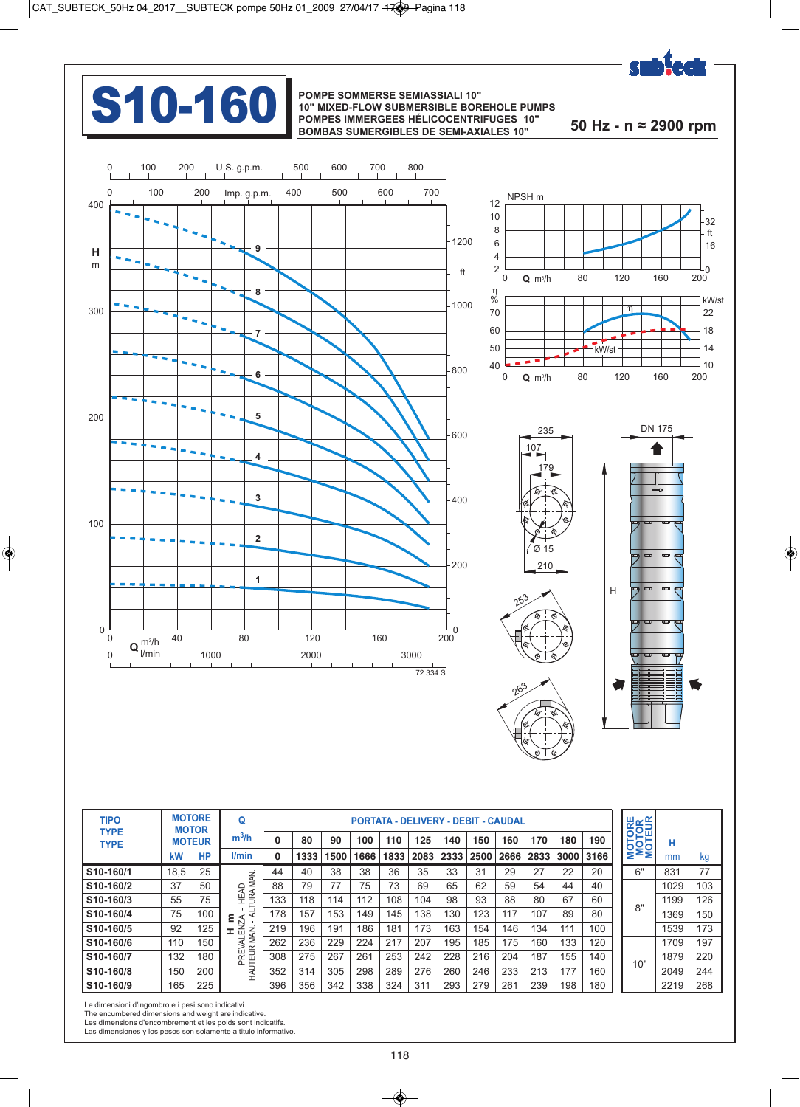

# **S10-160** POMPE SOMMERSE SEMIASSIALI 10"<br>POMPES IMMERGEES HÉLICOCENTRI

## **10" MIXED-FLOW SUBMERSIBLE BOREHOLE PUMPS POMPES IMMERGEES HÉLICOCENTRIFUGES 10" BOMBAS SUMERGIBLES DE SEMI-AXIALES 10" 50 Hz - n ≈ 2900 rpm**







| <b>TIPO</b><br><b>TYPE</b> |      | <b>MOTORE</b><br><b>MOTOR</b> | Q                                   |     |      |      |      |      | <b>PORTATA - DELIVERY - DEBIT - CAUDAL</b> |      |      |      |      |      |      | <b>MOTORE</b><br>MOTOR<br>MOTEUR |      |                 |
|----------------------------|------|-------------------------------|-------------------------------------|-----|------|------|------|------|--------------------------------------------|------|------|------|------|------|------|----------------------------------|------|-----------------|
| <b>TYPE</b>                |      | <b>MOTEUR</b>                 | $m^3/h$                             | 0   | 80   | 90   | 100  | 110  | 125                                        | 140  | 150  | 160  | 170  | 180  | 190  |                                  | н    |                 |
|                            | kW   | <b>HP</b>                     | l/min                               | 0   | 1333 | 1500 | 1666 | 1833 | 2083                                       | 2333 | 2500 | 2666 | 2833 | 3000 | 3166 |                                  | mm   | kg              |
| S <sub>10-160</sub> /1     | 18,5 | 25                            |                                     | 44  | 40   | 38   | 38   | 36   | 35                                         | 33   | 31   | 29   | 27   | 22   | 20   | 6"                               | 831  | 77              |
| S10-160/2                  | 37   | 50                            | MAN.<br>R                           | 88  | 79   | 77   | 75   | 73   | 69                                         | 65   | 62   | 59   | 54   | 44   | 40   |                                  | 1029 | 10 <sup>°</sup> |
| S10-160/3                  | 55   | 75                            | <b>HEAL</b><br>TURAL                | 133 | 118  | 114  | 112  | 108  | 104                                        | 98   | 93   | 88   | 80   | 67   | 60   | 8"                               | 1199 | 126             |
| S10-160/4                  | 75   | 100                           |                                     | 178 | 157  | 153  | 149  | 145  | 138                                        | 130  | 123  | 117  | 107  | 89   | 80   |                                  | 1369 | 15 <sub>0</sub> |
| S10-160/5                  | 92   | 125                           | $rac{\text{R}}{\text{ENZ}}$<br>MAN. | 219 | 196  | 191  | 186  | 181  | 173                                        | 163  | 154  | 146  | 134  | 111  | 100  |                                  | 1539 | 173             |
| S10-160/6                  | 110  | 150                           | ⋖                                   | 262 | 236  | 229  | 224  | 217  | 207                                        | 195  | 185  | 175  | 160  | 133  | 120  |                                  | 1709 | 197             |
| S10-160/7                  | 132  | 180                           | PREV<br>HAUTEUR                     | 308 | 275  | 267  | 261  | 253  | 242                                        | 228  | 216  | 204  | 187  | 155  | 140  | 10"                              | 1879 | 220             |
| S10-160/8                  | 150  | 200                           |                                     | 352 | 314  | 305  | 298  | 289  | 276                                        | 260  | 246  | 233  | 213  | 177  | 160  |                                  | 2049 | 244             |
| S10-160/9                  | 165  | 225                           |                                     | 396 | 356  | 342  | 338  | 324  | 311                                        | 293  | 279  | 261  | 239  | 198  | 180  |                                  | 2219 | 268             |

Le dimensioni d'ingombro e i pesi sono indicativi.

The encumbered dimensions and weight are indicative. Les dimensions d'encombrement et les poids sont indicatifs.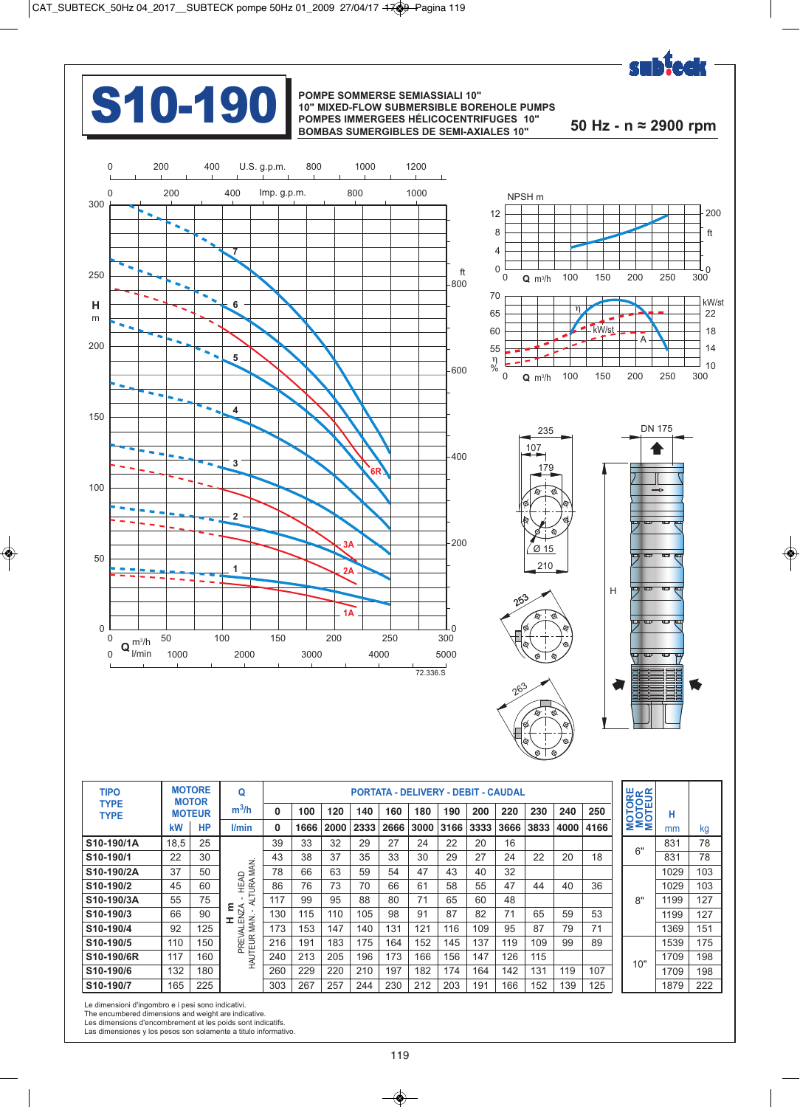

## **S10-190** POMPE SOMMERSE SEMIASSIALI 10"<br>POMPES IMMERGEES HÉLICOCENTRI

## **10" MIXED-FLOW SUBMERSIBLE BOREHOLE PUMPS POMPES IMMERGEES HÉLICOCENTRIFUGES 10" BOMBAS SUMERGIBLES DE SEMI-AXIALES 10" 50 Hz - n ≈ 2900 rpm**



| <b>TIPO</b><br><b>TYPE</b> |      | <b>MOTORE</b><br><b>MOTOR</b> | Q                |     |      |      |      |      | <b>PORTATA - DELIVERY - DEBIT - CAUDAL</b> |      |      |      |      |      |      | <b>MOTORE</b><br>MOTOR<br>MOTEUR |      |     |
|----------------------------|------|-------------------------------|------------------|-----|------|------|------|------|--------------------------------------------|------|------|------|------|------|------|----------------------------------|------|-----|
| <b>TYPE</b>                |      | <b>MOTEUR</b>                 | $m^3/h$          | 0   | 100  | 120  | 140  | 160  | 180                                        | 190  | 200  | 220  | 230  | 240  | 250  |                                  | н    |     |
|                            | kW   | <b>HP</b>                     | l/min            | 0   | 1666 | 2000 | 2333 | 2666 | 3000                                       | 3166 | 3333 | 3666 | 3833 | 4000 | 4166 |                                  | mm   | kg  |
| S10-190/1A                 | 18,5 | 25                            |                  | 39  | 33   | 32   | 29   | 27   | 24                                         | 22   | 20   | 16   |      |      |      | 6"                               | 831  | 78  |
| S10-190/1                  | 22   | 30                            | z                | 43  | 38   | 37   | 35   | 33   | 30                                         | 29   | 27   | 24   | 22   | 20   | 18   |                                  | 831  | 78  |
| S10-190/2A                 | 37   | 50                            | Š<br>≏<br>⋜      | 78  | 66   | 63   | 59   | 54   | 47                                         | 43   | 40   | 32   |      |      |      |                                  | 1029 | 103 |
| S10-190/2                  | 45   | 60                            | <b>JRA</b><br>£  | 86  | 76   | 73   | 70   | 66   | 61                                         | 58   | 55   | 47   | 44   | 40   | 36   |                                  | 1029 | 103 |
| S10-190/3A                 | 55   | 75                            | Ę<br>٤           | 117 | 99   | 95   | 88   | 80   | 71                                         | 65   | 60   | 48   |      |      |      | 8"                               | 1199 | 127 |
| S <sub>10-190</sub> /3     | 66   | 90                            | ENZA<br><b>I</b> | 130 | 115  | 110  | 105  | 98   | 91                                         | 87   | 82   | 71   | 65   | 59   | 53   |                                  | 1199 | 127 |
| S10-190/4                  | 92   | 125                           | MAN.<br>₹<br>⋝   | 173 | 153  | 147  | 140  | 131  | 121                                        | 116  | 109  | 95   | 87   | 79   | 71   |                                  | 1369 | 151 |
| S10-190/5                  | 110  | 150                           | PREV<br>HAUTEUR  | 216 | 191  | 183  | 175  | 164  | 152                                        | 145  | 137  | 119  | 109  | 99   | 89   |                                  | 1539 | 175 |
| S10-190/6R                 | 117  | 160                           |                  | 240 | 213  | 205  | 196  | 173  | 166                                        | 156  | 147  | 126  | 115  |      |      | 10"                              | 1709 | 198 |
| S10-190/6                  | 132  | 180                           |                  | 260 | 229  | 220  | 210  | 197  | 182                                        | 174  | 164  | 142  | 131  | 119  | 107  |                                  | 1709 | 198 |
| S10-190/7                  | 165  | 225                           |                  | 303 | 267  | 257  | 244  | 230  | 212                                        | 203  | 191  | 166  | 152  | 139  | 125  |                                  | 1879 | 222 |

Le dimensioni d'ingombro e i pesi sono indicativi.

The encumbered dimensions and weight are indicative. Les dimensions d'encombrement et les poids sont indicatifs.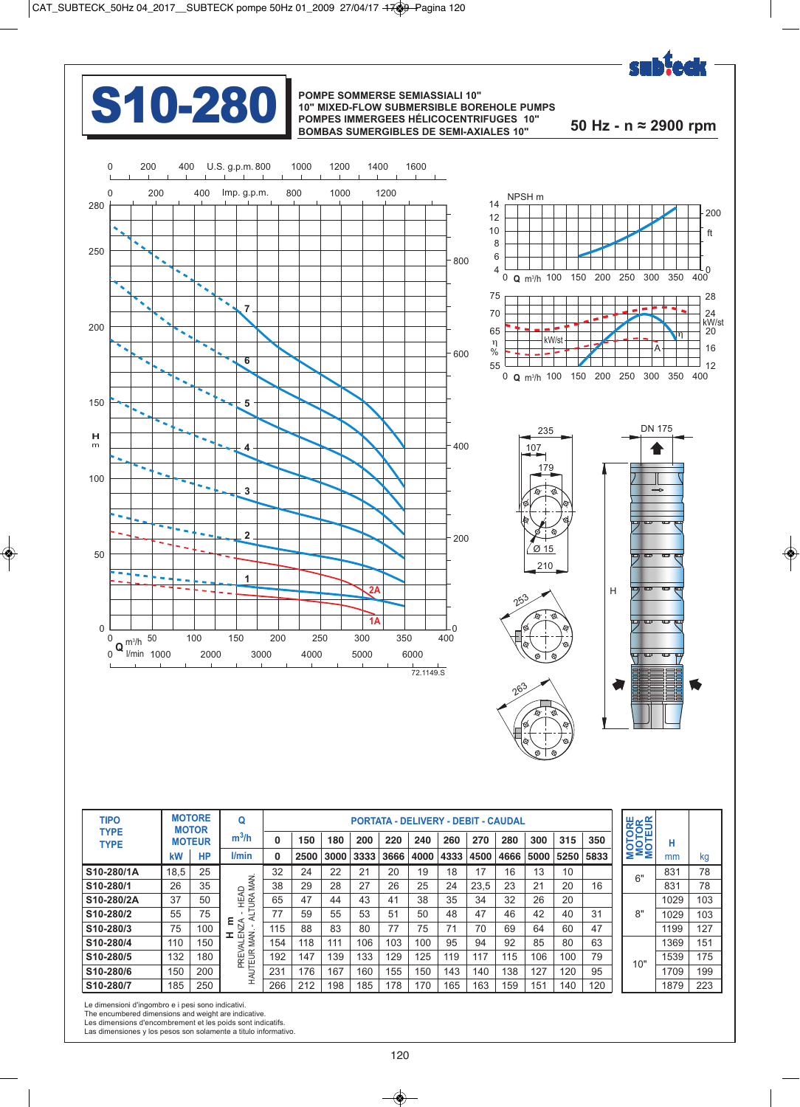

## **S10-280** POMPE SOMMERSE SEMIASSIALI 10"<br>POMPES IMMERGEES HÉLICOCENTRI

## **10" MIXED-FLOW SUBMERSIBLE BOREHOLE PUMPS POMPES IMMERGEES HÉLICOCENTRIFUGES 10" BOMBAS SUMERGIBLES DE SEMI-AXIALES 10" 50 Hz - n ≈ 2900 rpm**



| <b>TIPO</b>                |      | <b>MOTORE</b><br><b>MOTOR</b> | Q                              |     |      |      |      |      |      |      | <b>PORTATA - DELIVERY - DEBIT - CAUDAL</b> |      |      |      |      | <b>MOTORE</b><br><b>MOTOR</b><br>MOTEUR |      |                 |
|----------------------------|------|-------------------------------|--------------------------------|-----|------|------|------|------|------|------|--------------------------------------------|------|------|------|------|-----------------------------------------|------|-----------------|
| <b>TYPE</b><br><b>TYPE</b> |      | <b>MOTEUR</b>                 | $m^3/h$                        | 0   | 150  | 180  | 200  | 220  | 240  | 260  | 270                                        | 280  | 300  | 315  | 350  |                                         | н    |                 |
|                            | kW   | <b>HP</b>                     | l/min                          | 0   | 2500 | 3000 | 3333 | 3666 | 4000 | 4333 | 4500                                       | 4666 | 5000 | 5250 | 5833 |                                         | mm   | kg              |
| S10-280/1A                 | 18.5 | 25                            |                                | 32  | 24   | 22   | 21   | 20   | 19   | 18   | 17                                         | 16   | 13   | 10   |      | 6"                                      | 831  | 78              |
| S10-280/1                  | 26   | 35                            | MAN.<br>≏                      | 38  | 29   | 28   | 27   | 26   | 25   | 24   | 23,5                                       | 23   | 21   | 20   | 16   |                                         | 831  | 78              |
| S10-280/2A                 | 37   | 50                            | 医半<br><b>URA</b>               | 65  | 47   | 44   | 43   | 41   | 38   | 35   | 34                                         | 32   | 26   | 20   |      |                                         | 1029 | 103             |
| S10-280/2                  | 55   | 75                            | ₹                              | 77  | 59   | 55   | 53   | 51   | 50   | 48   | 47                                         | 46   | 42   | 40   | 31   | 8"                                      | 1029 | 103             |
| S10-280/3                  | 75   | 100                           | $\frac{1}{2}$<br>$\frac{1}{2}$ | 115 | 88   | 83   | 80   | 77   | 75   | 71   | 70                                         | 69   | 64   | 60   | 47   |                                         | 1199 | 127             |
| S10-280/4                  | 110  | 150                           | MAN.<br>⋖                      | 154 | 118  | 111  | 106  | 103  | 100  | 95   | 94                                         | 92   | 85   | 80   | 63   |                                         | 1369 | 15 <sup>′</sup> |
| S10-280/5                  | 132  | 180                           |                                | 192 | 147  | 139  | 133  | 129  | 125  | 119  | 117                                        | 115  | 106  | 100  | 79   | 10"                                     | 1539 | 175             |
| S10-280/6                  | 150  | 200                           | PREV<br>HAUTEUR                | 231 | 176  | 167  | 160  | 155  | 150  | 143  | 140                                        | 138  | 127  | 120  | 95   |                                         | 1709 | 199             |
| S10-280/7                  | 185  | 250                           |                                | 266 | 212  | 198  | 185  | 178  | 170  | 165  | 163                                        | 159  | 151  | 140  | 120  |                                         | 1879 | 223             |

Le dimensioni d'ingombro e i pesi sono indicativi.

The encumbered dimensions and weight are indicative. Les dimensions d'encombrement et les poids sont indicatifs.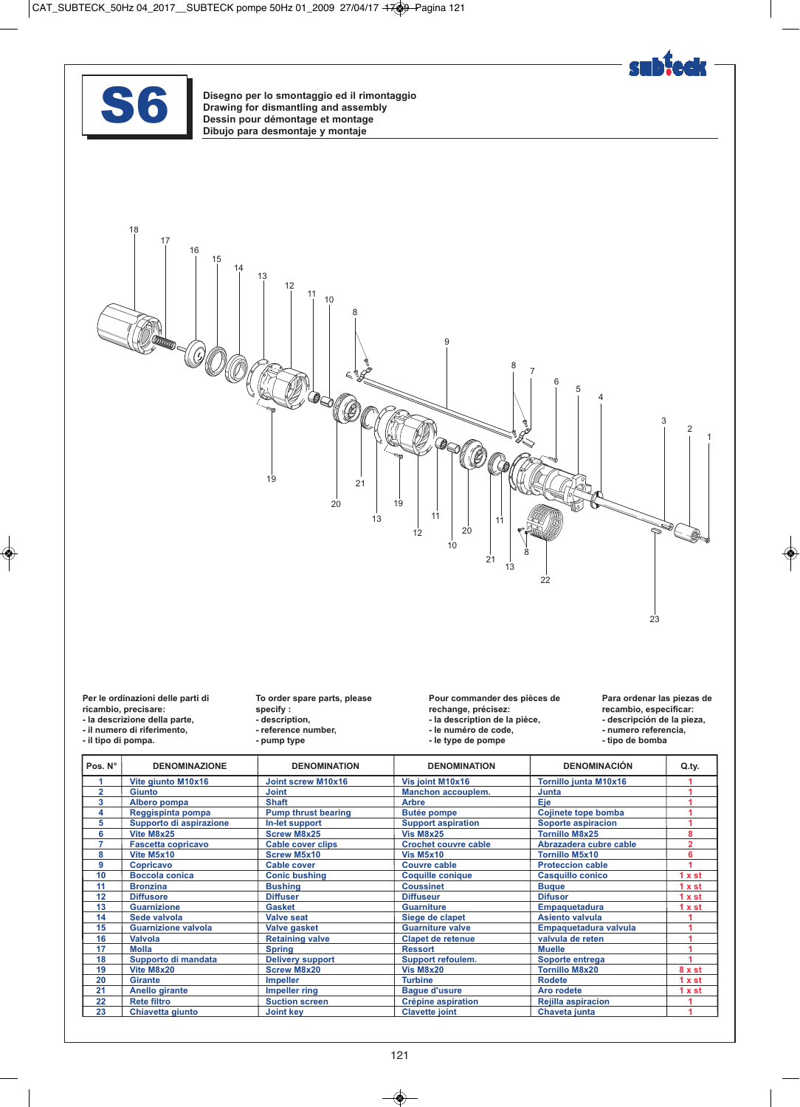



Disegno per lo smontaggio ed il rimontaggio<br>Drawing for dismantling and assembly<br>Dessin pour démontage et montage<br>Dibuio para desmontaje y montaje **Drawing for dismantling and assembly Dessin pour démontage et montage Dibujo para desmontaje y montaje**



**Per le ordinazioni delle parti di ricambio, precisare:** 

- **la descrizione della parte,**
- **il numero di riferimento,**
- **il tipo di pompa.**

**To order spare parts, please specify : - description,** 

- **reference number,**
- **pump type**

**Pour commander des pièces de rechange, précisez: - la description de la pièce, - le numéro de code,** 

**- le type de pompe** 

**Para ordenar las piezas de recambio, especificar: - descripción de la pieza, - numero referencia,** 

**- tipo de bomba** 

| Pos. N° | <b>DENOMINAZIONE</b>       | <b>DENOMINATION</b>        | <b>DENOMINATION</b>         | <b>DENOMINACIÓN</b>       | Q.ty.   |
|---------|----------------------------|----------------------------|-----------------------------|---------------------------|---------|
|         | Vite giunto M10x16         | Joint screw M10x16         | Vis joint M10x16            | Tornillo junta M10x16     |         |
| 2       | <b>Giunto</b>              | <b>Joint</b>               | Manchon accouplem.          | Junta                     |         |
| 3       | Albero pompa               | <b>Shaft</b>               | <b>Arbre</b>                | <b>Eje</b>                |         |
| 4       | Reggispinta pompa          | <b>Pump thrust bearing</b> | <b>Butée pompe</b>          | Cojinete tope bomba       |         |
| 5       | Supporto di aspirazione    | In-let support             | <b>Support aspiration</b>   | Soporte aspiracion        |         |
| 6       | Vite M8x25                 | <b>Screw M8x25</b>         | <b>Vis M8x25</b>            | <b>Tornillo M8x25</b>     |         |
|         | <b>Fascetta copricavo</b>  | <b>Cable cover clips</b>   | <b>Crochet couvre cable</b> | Abrazadera cubre cable    |         |
| 8       | Vite M5x10                 | <b>Screw M5x10</b>         | <b>Vis M5x10</b>            | <b>Tornillo M5x10</b>     |         |
| 9       | <b>Copricavo</b>           | <b>Cable cover</b>         | <b>Couvre cable</b>         | <b>Proteccion cable</b>   |         |
| 10      | <b>Boccola conica</b>      | <b>Conic bushing</b>       | <b>Coquille conique</b>     | <b>Casquillo conico</b>   | 1 x st  |
| 11      | <b>Bronzina</b>            | <b>Bushing</b>             | <b>Coussinet</b>            | <b>Bugue</b>              | 1 x st  |
| 12      | <b>Diffusore</b>           | <b>Diffuser</b>            | <b>Diffuseur</b>            | <b>Difusor</b>            | 1 x st  |
| 13      | <b>Guarnizione</b>         | <b>Gasket</b>              | <b>Guarniture</b>           | <b>Empaquetadura</b>      | 1 x st  |
| 14      | Sede valvola               | <b>Valve seat</b>          | Siege de clapet             | <b>Asiento valvula</b>    |         |
| 15      | <b>Guarnizione valvola</b> | Valve gasket               | <b>Guarniture valve</b>     | Empaquetadura valvula     |         |
| 16      | <b>Valvola</b>             | <b>Retaining valve</b>     | <b>Clapet de retenue</b>    | valvula de reten          |         |
| 17      | <b>Molla</b>               | <b>Spring</b>              | <b>Ressort</b>              | <b>Muelle</b>             |         |
| 18      | Supporto di mandata        | <b>Delivery support</b>    | Support refoulem.           | Soporte entrega           |         |
| 19      | Vite M8x20                 | <b>Screw M8x20</b>         | <b>Vis M8x20</b>            | <b>Tornillo M8x20</b>     | $8x$ st |
| 20      | <b>Girante</b>             | <b>Impeller</b>            | <b>Turbine</b>              | <b>Rodete</b>             | 1 x st  |
| 21      | Anello girante             | <b>Impeller ring</b>       | <b>Bague d'usure</b>        | Aro rodete                | 1 x st  |
| 22      | <b>Rete filtro</b>         | <b>Suction screen</b>      | <b>Crépine aspiration</b>   | <b>Rejilla aspiracion</b> |         |
| 23      | Chiavetta giunto           | <b>Joint key</b>           | <b>Clavette joint</b>       | Chaveta junta             |         |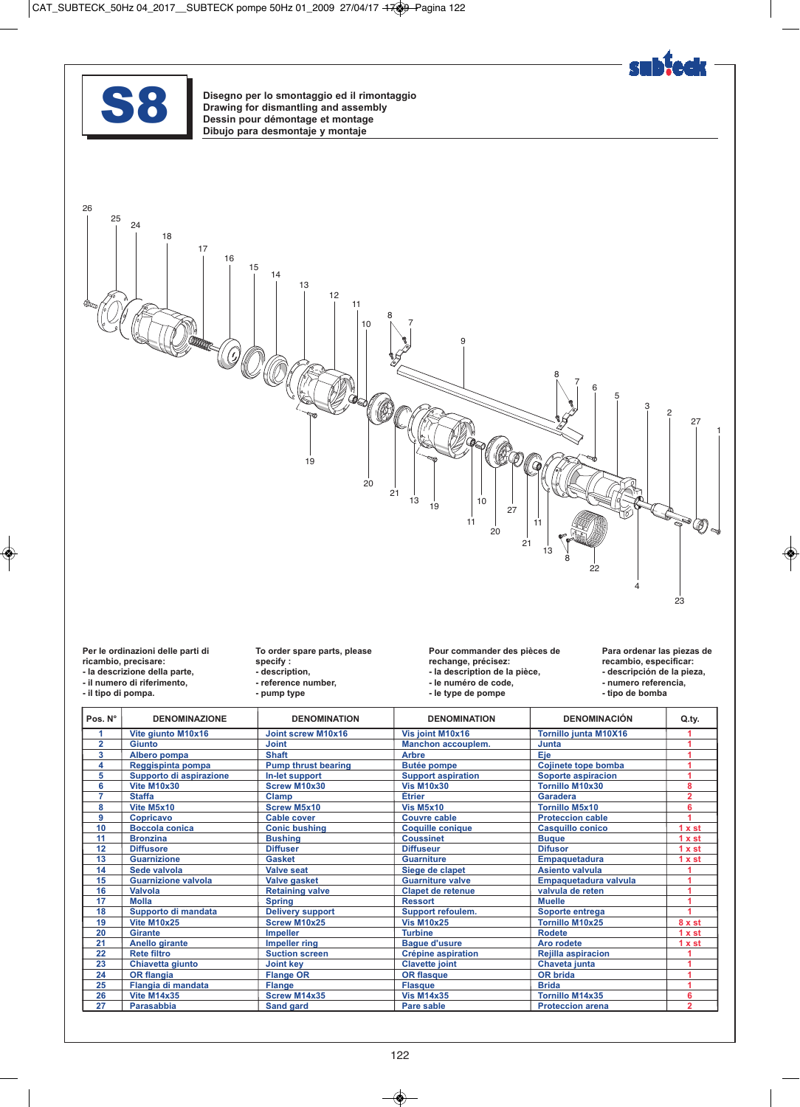

Disegno per lo smontaggio ed il rimontaggio<br>Drawing for dismantling and assembly<br>Dessin pour démontage et montage<br>Dibuio para desmontaje y montaje **Drawing for dismantling and assembly Dessin pour démontage et montage Dibujo para desmontaje y montaje**



**Per le ordinazioni delle parti di** 

**ricambio, precisare: - la descrizione della parte, - il numero di riferimento,** 

**- il tipo di pompa.** 

**To order spare parts, please specify : - description, - reference number, - pump type** 

**Pour commander des pièces de** 

- **rechange, précisez:**
- **la description de la pièce,**
- **le numéro de code, - le type de pompe**

**Para ordenar las piezas de recambio, especificar: - descripción de la pieza,** 

- **numero referencia,**
- **tipo de bomba**

| Pos. N°        | <b>DENOMINAZIONE</b>       | <b>DENOMINATION</b>        | <b>DENOMINATION</b>       | <b>DENOMINACIÓN</b>          | Q.ty.          |
|----------------|----------------------------|----------------------------|---------------------------|------------------------------|----------------|
|                | Vite giunto M10x16         | <b>Joint screw M10x16</b>  | Vis joint M10x16          | <b>Tornillo junta M10X16</b> |                |
| $\overline{2}$ | Giunto                     | <b>Joint</b>               | <b>Manchon accouplem.</b> | Junta                        |                |
| 3              | Albero pompa               | <b>Shaft</b>               | <b>Arbre</b>              | Eje                          |                |
| 4              | Reggispinta pompa          | <b>Pump thrust bearing</b> | <b>Butée pompe</b>        | Cojinete tope bomba          |                |
| 5              | Supporto di aspirazione    | In-let support             | <b>Support aspiration</b> | Soporte aspiracion           |                |
| 6              | Vite M10x30                | <b>Screw M10x30</b>        | <b>Vis M10x30</b>         | <b>Tornillo M10x30</b>       | 8              |
| 7              | <b>Staffa</b>              | <b>Clamp</b>               | Étrier                    | <b>Garadera</b>              | $\overline{2}$ |
| 8              | Vite M5x10                 | <b>Screw M5x10</b>         | <b>Vis M5x10</b>          | <b>Tornillo M5x10</b>        | 6              |
| 9              | <b>Copricavo</b>           | <b>Cable cover</b>         | <b>Couvre cable</b>       | <b>Proteccion cable</b>      |                |
| 10             | Boccola conica             | <b>Conic bushing</b>       | <b>Coquille conique</b>   | <b>Casquillo conico</b>      | 1 x st         |
| 11             | <b>Bronzina</b>            | <b>Bushing</b>             | <b>Coussinet</b>          | <b>Bugue</b>                 | 1 x st         |
| 12             | <b>Diffusore</b>           | <b>Diffuser</b>            | <b>Diffuseur</b>          | <b>Difusor</b>               | 1 x st         |
| 13             | <b>Guarnizione</b>         | <b>Gasket</b>              | <b>Guarniture</b>         | Empaquetadura                | 1 x st         |
| 14             | Sede valvola               | Valve seat                 | Siege de clapet           | <b>Asiento valvula</b>       |                |
| 15             | <b>Guarnizione valvola</b> | <b>Valve gasket</b>        | <b>Guarniture valve</b>   | Empaquetadura valvula        |                |
| 16             | Valvola                    | <b>Retaining valve</b>     | <b>Clapet de retenue</b>  | valvula de reten             |                |
| 17             | <b>Molla</b>               | <b>Spring</b>              | <b>Ressort</b>            | <b>Muelle</b>                |                |
| 18             | Supporto di mandata        | <b>Delivery support</b>    | Support refoulem.         | Soporte entrega              |                |
| 19             | <b>Vite M10x25</b>         | <b>Screw M10x25</b>        | <b>Vis M10x25</b>         | <b>Tornillo M10x25</b>       | 8xst           |
| 20             | <b>Girante</b>             | <b>Impeller</b>            | <b>Turbine</b>            | <b>Rodete</b>                | 1 x st         |
| 21             | <b>Anello girante</b>      | <b>Impeller ring</b>       | <b>Bague d'usure</b>      | Aro rodete                   | 1 x st         |
| 22             | <b>Rete filtro</b>         | <b>Suction screen</b>      | <b>Crépine aspiration</b> | <b>Rejilla aspiracion</b>    |                |
| 23             | Chiavetta giunto           | <b>Joint kev</b>           | <b>Clavette joint</b>     | Chaveta junta                |                |
| 24             | <b>OR flangia</b>          | <b>Flange OR</b>           | <b>OR flasque</b>         | <b>OR brida</b>              |                |
| 25             | Flangia di mandata         | <b>Flange</b>              | <b>Flasque</b>            | <b>Brida</b>                 |                |
| 26             | <b>Vite M14x35</b>         | Screw M14x35               | <b>Vis M14x35</b>         | <b>Tornillo M14x35</b>       | 6              |
| 27             | <b>Parasabbia</b>          | <b>Sand gard</b>           | <b>Pare sable</b>         | <b>Proteccion arena</b>      | $\overline{2}$ |